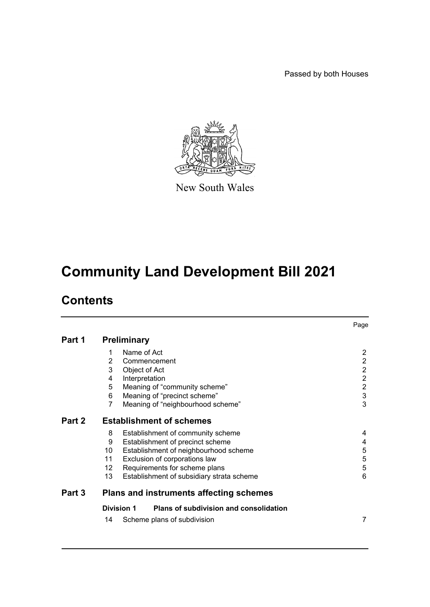Passed by both Houses



New South Wales

# **Community Land Development Bill 2021**

# **Contents**

|        |                                                             | Page                  |  |  |
|--------|-------------------------------------------------------------|-----------------------|--|--|
| Part 1 | <b>Preliminary</b>                                          |                       |  |  |
|        | Name of Act<br>1                                            | $\mathbf{2}^{\prime}$ |  |  |
|        | $\overline{2}$<br>Commencement                              | $\overline{2}$        |  |  |
|        | 3<br>Object of Act                                          | $\overline{2}$        |  |  |
|        | Interpretation<br>4                                         | $\overline{2}$        |  |  |
|        | 5<br>Meaning of "community scheme"                          | $\overline{c}$        |  |  |
|        | Meaning of "precinct scheme"<br>6                           | $\mathsf 3$           |  |  |
|        | $\overline{7}$<br>Meaning of "neighbourhood scheme"         | 3                     |  |  |
| Part 2 | <b>Establishment of schemes</b>                             |                       |  |  |
|        | 8<br>Establishment of community scheme                      | 4                     |  |  |
|        | Establishment of precinct scheme<br>9                       | 4                     |  |  |
|        | 10<br>Establishment of neighbourhood scheme                 | 5                     |  |  |
|        | 11<br>Exclusion of corporations law                         | 5                     |  |  |
|        | Requirements for scheme plans<br>12                         | 5                     |  |  |
|        | 13<br>Establishment of subsidiary strata scheme             | 6                     |  |  |
| Part 3 | <b>Plans and instruments affecting schemes</b>              |                       |  |  |
|        | <b>Division 1</b><br>Plans of subdivision and consolidation |                       |  |  |
|        | 14<br>Scheme plans of subdivision                           | 7                     |  |  |
|        |                                                             |                       |  |  |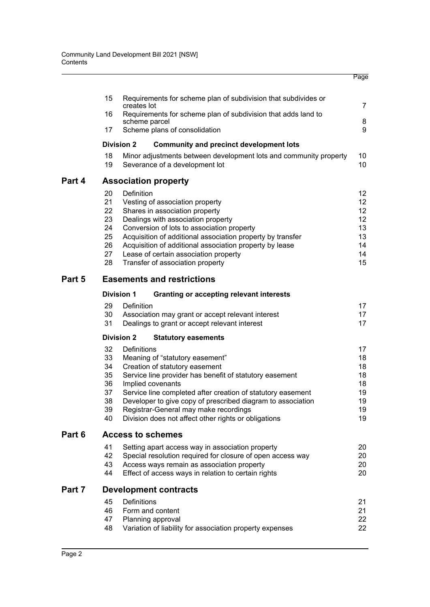|                                                    |                                                                                                                                                                                                                                                                                                                                                                                                 | Page                                                                                                                       |  |
|----------------------------------------------------|-------------------------------------------------------------------------------------------------------------------------------------------------------------------------------------------------------------------------------------------------------------------------------------------------------------------------------------------------------------------------------------------------|----------------------------------------------------------------------------------------------------------------------------|--|
| 15                                                 | Requirements for scheme plan of subdivision that subdivides or                                                                                                                                                                                                                                                                                                                                  | 7                                                                                                                          |  |
| 16                                                 | Requirements for scheme plan of subdivision that adds land to                                                                                                                                                                                                                                                                                                                                   |                                                                                                                            |  |
| 17                                                 | Scheme plans of consolidation                                                                                                                                                                                                                                                                                                                                                                   | 8<br>9                                                                                                                     |  |
|                                                    | <b>Community and precinct development lots</b>                                                                                                                                                                                                                                                                                                                                                  |                                                                                                                            |  |
| 18<br>19                                           | Minor adjustments between development lots and community property<br>Severance of a development lot                                                                                                                                                                                                                                                                                             | 10<br>10                                                                                                                   |  |
|                                                    |                                                                                                                                                                                                                                                                                                                                                                                                 |                                                                                                                            |  |
| 20<br>21<br>22<br>23<br>24<br>25<br>26<br>27<br>28 | Definition<br>Vesting of association property<br>Shares in association property<br>Dealings with association property<br>Conversion of lots to association property<br>Acquisition of additional association property by transfer<br>Acquisition of additional association property by lease<br>Lease of certain association property<br>Transfer of association property                       | 12<br>12<br>12<br>12<br>13<br>13<br>14<br>14<br>15                                                                         |  |
| <b>Easements and restrictions</b><br>Part 5        |                                                                                                                                                                                                                                                                                                                                                                                                 |                                                                                                                            |  |
|                                                    | <b>Granting or accepting relevant interests</b>                                                                                                                                                                                                                                                                                                                                                 |                                                                                                                            |  |
| 29<br>30<br>31                                     | Definition<br>Association may grant or accept relevant interest<br>Dealings to grant or accept relevant interest                                                                                                                                                                                                                                                                                | 17<br>17<br>17                                                                                                             |  |
|                                                    | <b>Statutory easements</b>                                                                                                                                                                                                                                                                                                                                                                      |                                                                                                                            |  |
| 32<br>33<br>34<br>35<br>36<br>37<br>38<br>39<br>40 | Definitions<br>Meaning of "statutory easement"<br>Creation of statutory easement<br>Service line provider has benefit of statutory easement<br>Implied covenants<br>Service line completed after creation of statutory easement<br>Developer to give copy of prescribed diagram to association<br>Registrar-General may make recordings<br>Division does not affect other rights or obligations | 17<br>18<br>18<br>18<br>18<br>19<br>19<br>19<br>19                                                                         |  |
| <b>Access to schemes</b>                           |                                                                                                                                                                                                                                                                                                                                                                                                 |                                                                                                                            |  |
| 41<br>42<br>43<br>44                               | Setting apart access way in association property<br>Special resolution required for closure of open access way<br>Access ways remain as association property<br>Effect of access ways in relation to certain rights                                                                                                                                                                             | 20<br>20<br>20<br>20                                                                                                       |  |
| <b>Development contracts</b>                       |                                                                                                                                                                                                                                                                                                                                                                                                 |                                                                                                                            |  |
| 45<br>46<br>47<br>48                               | Definitions<br>Form and content<br>Planning approval<br>Variation of liability for association property expenses                                                                                                                                                                                                                                                                                | 21<br>21<br>22<br>22                                                                                                       |  |
|                                                    |                                                                                                                                                                                                                                                                                                                                                                                                 | creates lot<br>scheme parcel<br><b>Division 2</b><br><b>Association property</b><br><b>Division 1</b><br><b>Division 2</b> |  |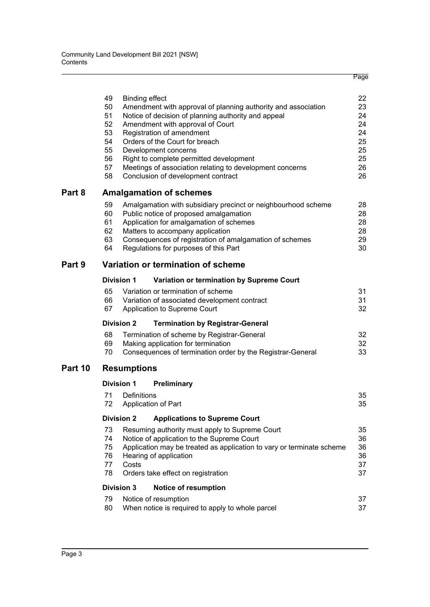|         | 49<br>50<br>51<br>52<br>53<br>54<br>55<br>56<br>57<br>58 | <b>Binding effect</b> | Amendment with approval of planning authority and association<br>Notice of decision of planning authority and appeal<br>Amendment with approval of Court<br>Registration of amendment<br>Orders of the Court for breach<br>Development concerns<br>Right to complete permitted development<br>Meetings of association relating to development concerns<br>Conclusion of development contract | 22<br>23<br>24<br>24<br>24<br>25<br>25<br>25<br>26<br>26 |  |
|---------|----------------------------------------------------------|-----------------------|----------------------------------------------------------------------------------------------------------------------------------------------------------------------------------------------------------------------------------------------------------------------------------------------------------------------------------------------------------------------------------------------|----------------------------------------------------------|--|
| Part 8  | <b>Amalgamation of schemes</b>                           |                       |                                                                                                                                                                                                                                                                                                                                                                                              |                                                          |  |
|         | 59<br>60<br>61<br>62<br>63<br>64                         |                       | Amalgamation with subsidiary precinct or neighbourhood scheme<br>Public notice of proposed amalgamation<br>Application for amalgamation of schemes<br>Matters to accompany application<br>Consequences of registration of amalgamation of schemes<br>Regulations for purposes of this Part                                                                                                   | 28<br>28<br>28<br>28<br>29<br>30                         |  |
| Part 9  |                                                          |                       | Variation or termination of scheme                                                                                                                                                                                                                                                                                                                                                           |                                                          |  |
|         | <b>Division 1</b>                                        |                       | Variation or termination by Supreme Court                                                                                                                                                                                                                                                                                                                                                    |                                                          |  |
|         | 65<br>66<br>67                                           |                       | Variation or termination of scheme<br>Variation of associated development contract<br>Application to Supreme Court                                                                                                                                                                                                                                                                           | 31<br>31<br>32                                           |  |
|         | <b>Division 2</b>                                        |                       | <b>Termination by Registrar-General</b>                                                                                                                                                                                                                                                                                                                                                      |                                                          |  |
|         | 68<br>69<br>70                                           |                       | Termination of scheme by Registrar-General<br>Making application for termination<br>Consequences of termination order by the Registrar-General                                                                                                                                                                                                                                               | 32<br>32<br>33                                           |  |
| Part 10 | <b>Resumptions</b>                                       |                       |                                                                                                                                                                                                                                                                                                                                                                                              |                                                          |  |
|         | <b>Division 1</b>                                        |                       | Preliminary                                                                                                                                                                                                                                                                                                                                                                                  |                                                          |  |
|         | 71<br>72                                                 | Definitions           | Application of Part                                                                                                                                                                                                                                                                                                                                                                          | 35<br>35                                                 |  |
|         | <b>Division 2</b>                                        |                       | <b>Applications to Supreme Court</b>                                                                                                                                                                                                                                                                                                                                                         |                                                          |  |
|         | 73<br>74<br>75<br>76<br>77<br>78                         | Costs                 | Resuming authority must apply to Supreme Court<br>Notice of application to the Supreme Court<br>Application may be treated as application to vary or terminate scheme<br>Hearing of application<br>Orders take effect on registration                                                                                                                                                        | 35<br>36<br>36<br>36<br>37<br>37                         |  |
|         | <b>Division 3</b>                                        |                       | <b>Notice of resumption</b>                                                                                                                                                                                                                                                                                                                                                                  |                                                          |  |
|         | 79<br>80                                                 |                       | Notice of resumption<br>When notice is required to apply to whole parcel                                                                                                                                                                                                                                                                                                                     | 37<br>37                                                 |  |
|         |                                                          |                       |                                                                                                                                                                                                                                                                                                                                                                                              |                                                          |  |

Page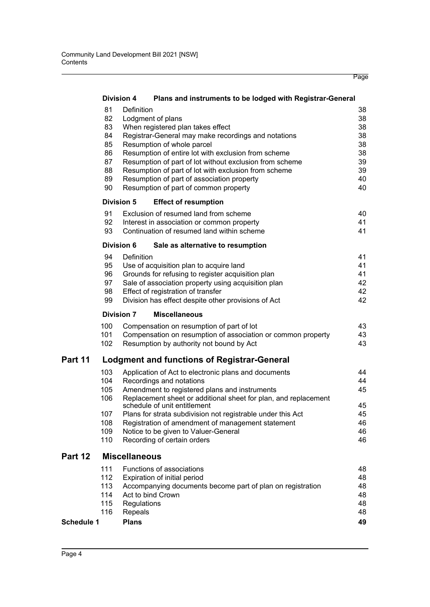|                   |            | <b>Division 4</b><br>Plans and instruments to be lodged with Registrar-General            |          |
|-------------------|------------|-------------------------------------------------------------------------------------------|----------|
|                   | 81         | Definition                                                                                | 38       |
|                   | 82         | Lodgment of plans                                                                         | 38       |
|                   | 83         | When registered plan takes effect                                                         | 38       |
|                   | 84         | Registrar-General may make recordings and notations                                       | 38       |
|                   | 85         | Resumption of whole parcel                                                                | 38       |
|                   | 86         | Resumption of entire lot with exclusion from scheme                                       | 38       |
|                   | 87         | Resumption of part of lot without exclusion from scheme                                   | 39       |
|                   | 88         | Resumption of part of lot with exclusion from scheme                                      | 39       |
|                   | 89         | Resumption of part of association property                                                | 40       |
|                   | 90         | Resumption of part of common property                                                     | 40       |
|                   |            | <b>Division 5</b><br><b>Effect of resumption</b>                                          |          |
|                   | 91         | Exclusion of resumed land from scheme                                                     | 40       |
|                   | 92         | Interest in association or common property                                                | 41       |
|                   | 93         | Continuation of resumed land within scheme                                                | 41       |
|                   |            | <b>Division 6</b><br>Sale as alternative to resumption                                    |          |
|                   | 94         | Definition                                                                                | 41       |
|                   | 95         | Use of acquisition plan to acquire land                                                   | 41       |
|                   | 96         | Grounds for refusing to register acquisition plan                                         | 41       |
|                   | 97         | Sale of association property using acquisition plan                                       | 42       |
|                   | 98         | Effect of registration of transfer                                                        | 42       |
|                   | 99         | Division has effect despite other provisions of Act                                       | 42       |
|                   |            | <b>Division 7</b><br><b>Miscellaneous</b>                                                 |          |
|                   | 100        | Compensation on resumption of part of lot                                                 | 43       |
|                   | 101        | Compensation on resumption of association or common property                              | 43       |
|                   | 102        | Resumption by authority not bound by Act                                                  | 43       |
| Part 11           |            | <b>Lodgment and functions of Registrar-General</b>                                        |          |
|                   | 103        | Application of Act to electronic plans and documents                                      | 44       |
|                   | 104        | Recordings and notations                                                                  | 44       |
|                   | 105        | Amendment to registered plans and instruments                                             | 45       |
|                   | 106        | Replacement sheet or additional sheet for plan, and replacement                           |          |
|                   |            | schedule of unit entitlement                                                              | 45       |
|                   | 107<br>108 | Plans for strata subdivision not registrable under this Act                               | 45<br>46 |
|                   | 109        | Registration of amendment of management statement<br>Notice to be given to Valuer-General | 46       |
|                   | 110        | Recording of certain orders                                                               | 46       |
|                   |            |                                                                                           |          |
| Part 12           |            | <b>Miscellaneous</b>                                                                      |          |
|                   |            | Functions of associations                                                                 | 48       |
|                   | 111        |                                                                                           |          |
|                   | 112        | Expiration of initial period                                                              | 48       |
|                   | 113        | Accompanying documents become part of plan on registration                                | 48       |
|                   | 114        | Act to bind Crown                                                                         | 48       |
|                   | 115        | Regulations                                                                               | 48       |
| <b>Schedule 1</b> | 116        | Repeals<br><b>Plans</b>                                                                   | 48<br>49 |

Page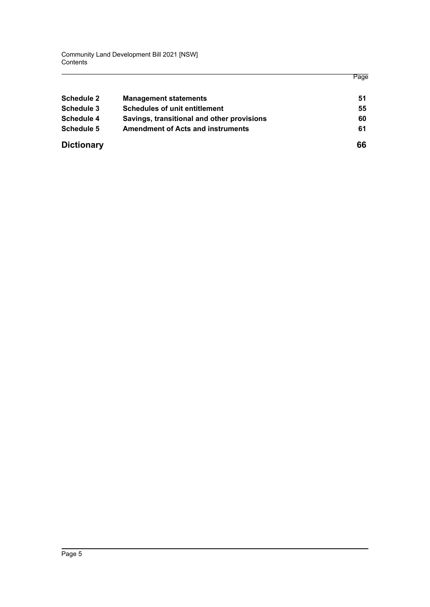Community Land Development Bill 2021 [NSW] **Contents** 

|                   |                                            | Page |
|-------------------|--------------------------------------------|------|
| Schedule 2        | <b>Management statements</b>               | 51   |
| Schedule 3        | <b>Schedules of unit entitlement</b>       | 55   |
| Schedule 4        | Savings, transitional and other provisions | 60   |
| Schedule 5        | <b>Amendment of Acts and instruments</b>   | 61   |
| <b>Dictionary</b> |                                            | 66   |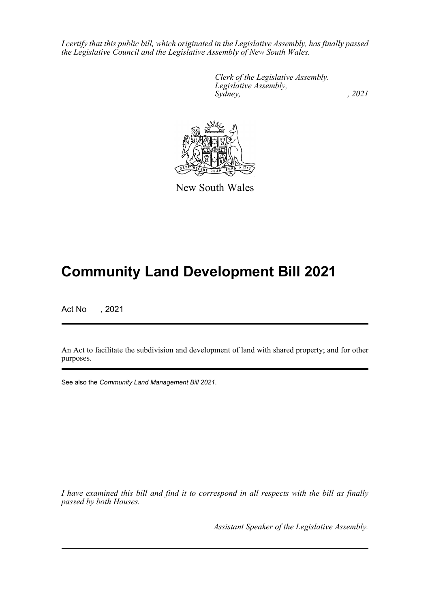*I certify that this public bill, which originated in the Legislative Assembly, has finally passed the Legislative Council and the Legislative Assembly of New South Wales.*

> *Clerk of the Legislative Assembly. Legislative Assembly, Sydney, , 2021*



New South Wales

# **Community Land Development Bill 2021**

Act No , 2021

An Act to facilitate the subdivision and development of land with shared property; and for other purposes.

See also the *Community Land Management Bill 2021*.

*I have examined this bill and find it to correspond in all respects with the bill as finally passed by both Houses.*

*Assistant Speaker of the Legislative Assembly.*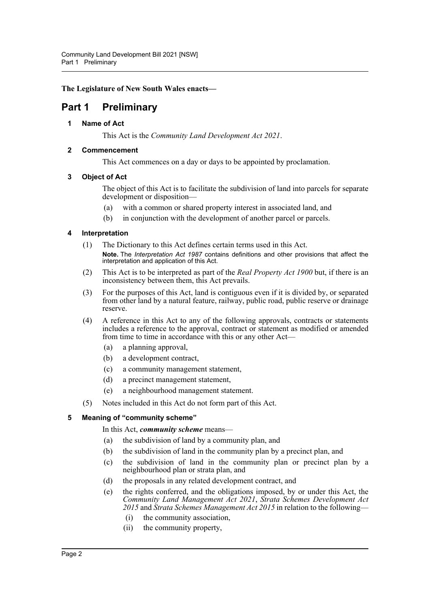**The Legislature of New South Wales enacts—**

## <span id="page-6-1"></span><span id="page-6-0"></span>**Part 1 Preliminary**

#### **1 Name of Act**

This Act is the *Community Land Development Act 2021*.

#### <span id="page-6-2"></span>**2 Commencement**

This Act commences on a day or days to be appointed by proclamation.

#### <span id="page-6-3"></span>**3 Object of Act**

The object of this Act is to facilitate the subdivision of land into parcels for separate development or disposition—

- (a) with a common or shared property interest in associated land, and
- (b) in conjunction with the development of another parcel or parcels.

#### <span id="page-6-4"></span>**4 Interpretation**

- (1) The Dictionary to this Act defines certain terms used in this Act. **Note.** The *Interpretation Act 1987* contains definitions and other provisions that affect the interpretation and application of this Act.
- (2) This Act is to be interpreted as part of the *Real Property Act 1900* but, if there is an inconsistency between them, this Act prevails.
- (3) For the purposes of this Act, land is contiguous even if it is divided by, or separated from other land by a natural feature, railway, public road, public reserve or drainage reserve.
- (4) A reference in this Act to any of the following approvals, contracts or statements includes a reference to the approval, contract or statement as modified or amended from time to time in accordance with this or any other Act—
	- (a) a planning approval,
	- (b) a development contract,
	- (c) a community management statement,
	- (d) a precinct management statement,
	- (e) a neighbourhood management statement.
- (5) Notes included in this Act do not form part of this Act.

#### <span id="page-6-5"></span>**5 Meaning of "community scheme"**

#### In this Act, *community scheme* means—

- (a) the subdivision of land by a community plan, and
- (b) the subdivision of land in the community plan by a precinct plan, and
- (c) the subdivision of land in the community plan or precinct plan by a neighbourhood plan or strata plan, and
- (d) the proposals in any related development contract, and
- (e) the rights conferred, and the obligations imposed, by or under this Act, the *Community Land Management Act 2021*, *Strata Schemes Development Act 2015* and *Strata Schemes Management Act 2015* in relation to the following—
	- (i) the community association,
	- (ii) the community property,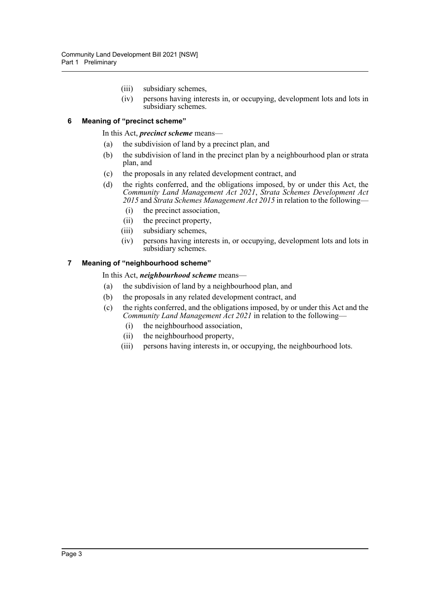- (iii) subsidiary schemes,
- (iv) persons having interests in, or occupying, development lots and lots in subsidiary schemes.

#### <span id="page-7-0"></span>**6 Meaning of "precinct scheme"**

In this Act, *precinct scheme* means—

- (a) the subdivision of land by a precinct plan, and
- (b) the subdivision of land in the precinct plan by a neighbourhood plan or strata plan, and
- (c) the proposals in any related development contract, and
- (d) the rights conferred, and the obligations imposed, by or under this Act, the *Community Land Management Act 2021*, *Strata Schemes Development Act 2015* and *Strata Schemes Management Act 2015* in relation to the following—
	- (i) the precinct association,
	- (ii) the precinct property,
	- (iii) subsidiary schemes,
	- (iv) persons having interests in, or occupying, development lots and lots in subsidiary schemes.

#### <span id="page-7-1"></span>**7 Meaning of "neighbourhood scheme"**

In this Act, *neighbourhood scheme* means—

- (a) the subdivision of land by a neighbourhood plan, and
- (b) the proposals in any related development contract, and
- (c) the rights conferred, and the obligations imposed, by or under this Act and the *Community Land Management Act 2021* in relation to the following—
	- (i) the neighbourhood association,
	- (ii) the neighbourhood property,
	- (iii) persons having interests in, or occupying, the neighbourhood lots.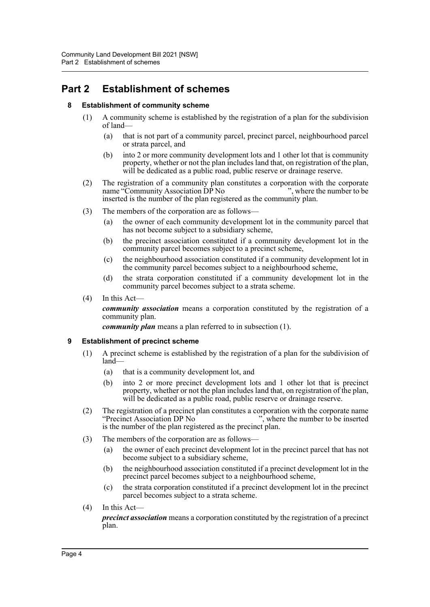## <span id="page-8-1"></span><span id="page-8-0"></span>**Part 2 Establishment of schemes**

#### **8 Establishment of community scheme**

- (1) A community scheme is established by the registration of a plan for the subdivision of land—
	- (a) that is not part of a community parcel, precinct parcel, neighbourhood parcel or strata parcel, and
	- (b) into 2 or more community development lots and 1 other lot that is community property, whether or not the plan includes land that, on registration of the plan, will be dedicated as a public road, public reserve or drainage reserve.
- (2) The registration of a community plan constitutes a corporation with the corporate name "Community Association DP No ", where the number to be name "Community Association DP No inserted is the number of the plan registered as the community plan.
- (3) The members of the corporation are as follows—
	- (a) the owner of each community development lot in the community parcel that has not become subject to a subsidiary scheme,
	- (b) the precinct association constituted if a community development lot in the community parcel becomes subject to a precinct scheme,
	- (c) the neighbourhood association constituted if a community development lot in the community parcel becomes subject to a neighbourhood scheme,
	- (d) the strata corporation constituted if a community development lot in the community parcel becomes subject to a strata scheme.
- (4) In this Act—

*community association* means a corporation constituted by the registration of a community plan.

*community plan* means a plan referred to in subsection (1).

#### <span id="page-8-2"></span>**9 Establishment of precinct scheme**

- (1) A precinct scheme is established by the registration of a plan for the subdivision of land—
	- (a) that is a community development lot, and
	- (b) into 2 or more precinct development lots and 1 other lot that is precinct property, whether or not the plan includes land that, on registration of the plan, will be dedicated as a public road, public reserve or drainage reserve.
- (2) The registration of a precinct plan constitutes a corporation with the corporate name<br>
"Precinct Association DP No", where the number to be inserted  $\ldots$ , where the number to be inserted is the number of the plan registered as the precinct plan.
- (3) The members of the corporation are as follows—
	- (a) the owner of each precinct development lot in the precinct parcel that has not become subject to a subsidiary scheme,
	- (b) the neighbourhood association constituted if a precinct development lot in the precinct parcel becomes subject to a neighbourhood scheme,
	- (c) the strata corporation constituted if a precinct development lot in the precinct parcel becomes subject to a strata scheme.
- (4) In this Act—

*precinct association* means a corporation constituted by the registration of a precinct plan.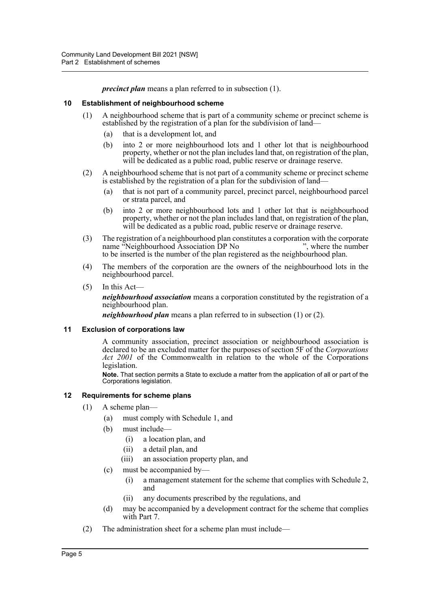*precinct plan* means a plan referred to in subsection (1).

#### <span id="page-9-0"></span>**10 Establishment of neighbourhood scheme**

- (1) A neighbourhood scheme that is part of a community scheme or precinct scheme is established by the registration of a plan for the subdivision of land—
	- (a) that is a development lot, and
	- (b) into 2 or more neighbourhood lots and 1 other lot that is neighbourhood property, whether or not the plan includes land that, on registration of the plan, will be dedicated as a public road, public reserve or drainage reserve.
- (2) A neighbourhood scheme that is not part of a community scheme or precinct scheme is established by the registration of a plan for the subdivision of land—
	- (a) that is not part of a community parcel, precinct parcel, neighbourhood parcel or strata parcel, and
	- (b) into 2 or more neighbourhood lots and 1 other lot that is neighbourhood property, whether or not the plan includes land that, on registration of the plan, will be dedicated as a public road, public reserve or drainage reserve.
- (3) The registration of a neighbourhood plan constitutes a corporation with the corporate name "Neighbourhood Association DP No ", where the number" to be inserted is the number of the plan registered as the neighbourhood plan.
- (4) The members of the corporation are the owners of the neighbourhood lots in the neighbourhood parcel.
- (5) In this Act—

*neighbourhood association* means a corporation constituted by the registration of a neighbourhood plan.

*neighbourhood plan* means a plan referred to in subsection (1) or (2).

#### <span id="page-9-1"></span>**11 Exclusion of corporations law**

A community association, precinct association or neighbourhood association is declared to be an excluded matter for the purposes of section 5F of the *Corporations Act 2001* of the Commonwealth in relation to the whole of the Corporations legislation.

**Note.** That section permits a State to exclude a matter from the application of all or part of the Corporations legislation.

#### <span id="page-9-2"></span>**12 Requirements for scheme plans**

- (1) A scheme plan—
	- (a) must comply with Schedule 1, and
	- (b) must include—
		- (i) a location plan, and
		- (ii) a detail plan, and
		- (iii) an association property plan, and
	- (c) must be accompanied by—
		- (i) a management statement for the scheme that complies with Schedule 2, and
		- (ii) any documents prescribed by the regulations, and
	- (d) may be accompanied by a development contract for the scheme that complies with Part 7.
- (2) The administration sheet for a scheme plan must include—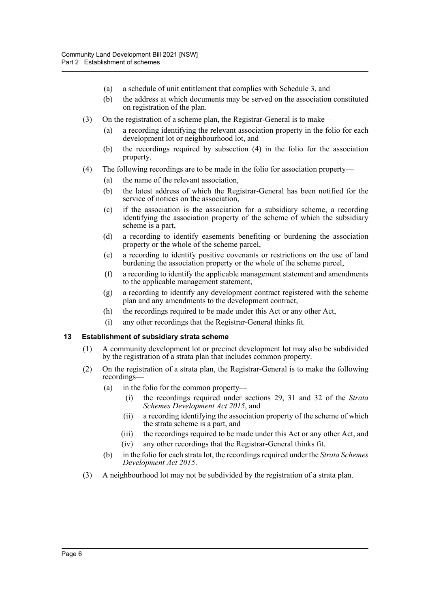- (a) a schedule of unit entitlement that complies with Schedule 3, and
- (b) the address at which documents may be served on the association constituted on registration of the plan.
- (3) On the registration of a scheme plan, the Registrar-General is to make—
	- (a) a recording identifying the relevant association property in the folio for each development lot or neighbourhood lot, and
	- (b) the recordings required by subsection (4) in the folio for the association property.
- (4) The following recordings are to be made in the folio for association property—
	- (a) the name of the relevant association,
	- (b) the latest address of which the Registrar-General has been notified for the service of notices on the association,
	- (c) if the association is the association for a subsidiary scheme, a recording identifying the association property of the scheme of which the subsidiary scheme is a part,
	- (d) a recording to identify easements benefiting or burdening the association property or the whole of the scheme parcel,
	- (e) a recording to identify positive covenants or restrictions on the use of land burdening the association property or the whole of the scheme parcel,
	- (f) a recording to identify the applicable management statement and amendments to the applicable management statement,
	- (g) a recording to identify any development contract registered with the scheme plan and any amendments to the development contract,
	- (h) the recordings required to be made under this Act or any other Act,
	- (i) any other recordings that the Registrar-General thinks fit.

#### <span id="page-10-0"></span>**13 Establishment of subsidiary strata scheme**

- (1) A community development lot or precinct development lot may also be subdivided by the registration of a strata plan that includes common property.
- (2) On the registration of a strata plan, the Registrar-General is to make the following recordings—
	- (a) in the folio for the common property—
		- (i) the recordings required under sections 29, 31 and 32 of the *Strata Schemes Development Act 2015*, and
		- (ii) a recording identifying the association property of the scheme of which the strata scheme is a part, and
		- (iii) the recordings required to be made under this Act or any other Act, and (iv) any other recordings that the Registrar-General thinks fit.
	- (b) in the folio for each strata lot, the recordings required under the *Strata Schemes Development Act 2015*.
- (3) A neighbourhood lot may not be subdivided by the registration of a strata plan.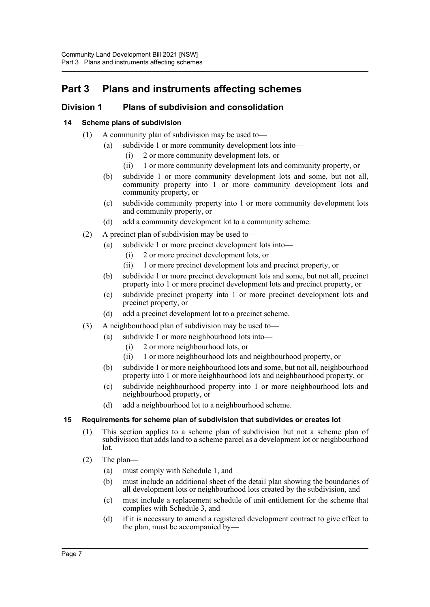## <span id="page-11-0"></span>**Part 3 Plans and instruments affecting schemes**

### <span id="page-11-1"></span>**Division 1 Plans of subdivision and consolidation**

#### <span id="page-11-2"></span>**14 Scheme plans of subdivision**

- (1) A community plan of subdivision may be used to—
	- (a) subdivide 1 or more community development lots into—
		- (i) 2 or more community development lots, or
		- (ii) 1 or more community development lots and community property, or
	- (b) subdivide 1 or more community development lots and some, but not all, community property into 1 or more community development lots and community property, or
	- (c) subdivide community property into 1 or more community development lots and community property, or
	- (d) add a community development lot to a community scheme.
- (2) A precinct plan of subdivision may be used to—
	- (a) subdivide 1 or more precinct development lots into—
		- (i) 2 or more precinct development lots, or
		- (ii) 1 or more precinct development lots and precinct property, or
	- (b) subdivide 1 or more precinct development lots and some, but not all, precinct property into 1 or more precinct development lots and precinct property, or
	- (c) subdivide precinct property into 1 or more precinct development lots and precinct property, or
	- (d) add a precinct development lot to a precinct scheme.
- (3) A neighbourhood plan of subdivision may be used to—
	- (a) subdivide 1 or more neighbourhood lots into—
		- (i) 2 or more neighbourhood lots, or
		- (ii) 1 or more neighbourhood lots and neighbourhood property, or
	- (b) subdivide 1 or more neighbourhood lots and some, but not all, neighbourhood property into 1 or more neighbourhood lots and neighbourhood property, or
	- (c) subdivide neighbourhood property into 1 or more neighbourhood lots and neighbourhood property, or
	- (d) add a neighbourhood lot to a neighbourhood scheme.

#### <span id="page-11-3"></span>**15 Requirements for scheme plan of subdivision that subdivides or creates lot**

- (1) This section applies to a scheme plan of subdivision but not a scheme plan of subdivision that adds land to a scheme parcel as a development lot or neighbourhood lot.
- (2) The plan—
	- (a) must comply with Schedule 1, and
	- (b) must include an additional sheet of the detail plan showing the boundaries of all development lots or neighbourhood lots created by the subdivision, and
	- (c) must include a replacement schedule of unit entitlement for the scheme that complies with Schedule 3, and
	- (d) if it is necessary to amend a registered development contract to give effect to the plan, must be accompanied by—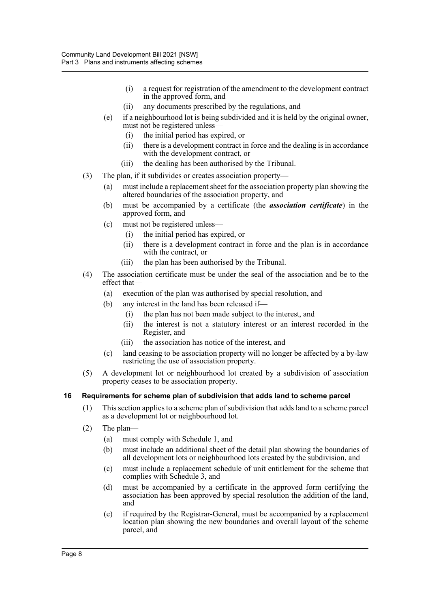- (i) a request for registration of the amendment to the development contract in the approved form, and
- (ii) any documents prescribed by the regulations, and
- (e) if a neighbourhood lot is being subdivided and it is held by the original owner, must not be registered unless—
	- (i) the initial period has expired, or
	- (ii) there is a development contract in force and the dealing is in accordance with the development contract, or
	- (iii) the dealing has been authorised by the Tribunal.
- (3) The plan, if it subdivides or creates association property—
	- (a) must include a replacement sheet for the association property plan showing the altered boundaries of the association property, and
	- (b) must be accompanied by a certificate (the *association certificate*) in the approved form, and
	- (c) must not be registered unless—
		- (i) the initial period has expired, or
		- (ii) there is a development contract in force and the plan is in accordance with the contract, or
		- (iii) the plan has been authorised by the Tribunal.
- (4) The association certificate must be under the seal of the association and be to the effect that—
	- (a) execution of the plan was authorised by special resolution, and
	- (b) any interest in the land has been released if—
		- (i) the plan has not been made subject to the interest, and
		- (ii) the interest is not a statutory interest or an interest recorded in the Register, and
		- (iii) the association has notice of the interest, and
	- (c) land ceasing to be association property will no longer be affected by a by-law restricting the use of association property.
- (5) A development lot or neighbourhood lot created by a subdivision of association property ceases to be association property.

#### <span id="page-12-0"></span>**16 Requirements for scheme plan of subdivision that adds land to scheme parcel**

- (1) This section applies to a scheme plan of subdivision that adds land to a scheme parcel as a development lot or neighbourhood lot.
- (2) The plan—
	- (a) must comply with Schedule 1, and
	- (b) must include an additional sheet of the detail plan showing the boundaries of all development lots or neighbourhood lots created by the subdivision, and
	- (c) must include a replacement schedule of unit entitlement for the scheme that complies with Schedule 3, and
	- (d) must be accompanied by a certificate in the approved form certifying the association has been approved by special resolution the addition of the land, and
	- (e) if required by the Registrar-General, must be accompanied by a replacement location plan showing the new boundaries and overall layout of the scheme parcel, and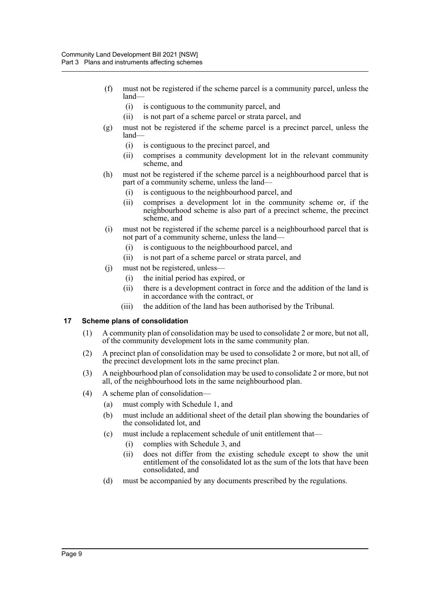- (f) must not be registered if the scheme parcel is a community parcel, unless the land—
	- (i) is contiguous to the community parcel, and
	- (ii) is not part of a scheme parcel or strata parcel, and
- (g) must not be registered if the scheme parcel is a precinct parcel, unless the land—
	- (i) is contiguous to the precinct parcel, and
	- (ii) comprises a community development lot in the relevant community scheme, and
- (h) must not be registered if the scheme parcel is a neighbourhood parcel that is part of a community scheme, unless the land—
	- (i) is contiguous to the neighbourhood parcel, and
	- (ii) comprises a development lot in the community scheme or, if the neighbourhood scheme is also part of a precinct scheme, the precinct scheme, and
- (i) must not be registered if the scheme parcel is a neighbourhood parcel that is not part of a community scheme, unless the land—
	- (i) is contiguous to the neighbourhood parcel, and
	- (ii) is not part of a scheme parcel or strata parcel, and
- (j) must not be registered, unless—
	- (i) the initial period has expired, or
	- (ii) there is a development contract in force and the addition of the land is in accordance with the contract, or
	- (iii) the addition of the land has been authorised by the Tribunal.

#### <span id="page-13-0"></span>**17 Scheme plans of consolidation**

- (1) A community plan of consolidation may be used to consolidate 2 or more, but not all, of the community development lots in the same community plan.
- (2) A precinct plan of consolidation may be used to consolidate 2 or more, but not all, of the precinct development lots in the same precinct plan.
- (3) A neighbourhood plan of consolidation may be used to consolidate 2 or more, but not all, of the neighbourhood lots in the same neighbourhood plan.
- (4) A scheme plan of consolidation—
	- (a) must comply with Schedule 1, and
	- (b) must include an additional sheet of the detail plan showing the boundaries of the consolidated lot, and
	- (c) must include a replacement schedule of unit entitlement that—
		- (i) complies with Schedule 3, and
		- (ii) does not differ from the existing schedule except to show the unit entitlement of the consolidated lot as the sum of the lots that have been consolidated, and
	- (d) must be accompanied by any documents prescribed by the regulations.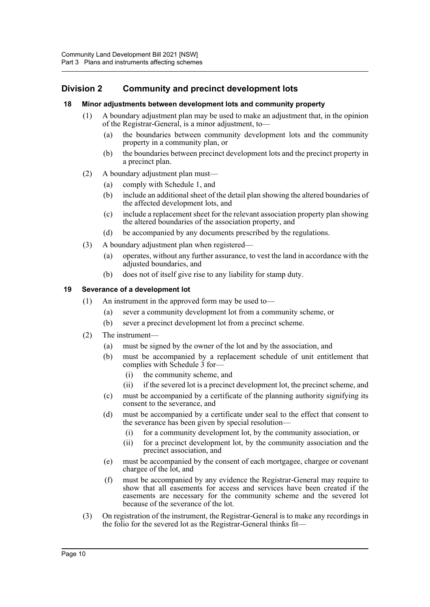### <span id="page-14-0"></span>**Division 2 Community and precinct development lots**

#### <span id="page-14-1"></span>**18 Minor adjustments between development lots and community property**

- (1) A boundary adjustment plan may be used to make an adjustment that, in the opinion of the Registrar-General, is a minor adjustment, to—
	- (a) the boundaries between community development lots and the community property in a community plan, or
	- (b) the boundaries between precinct development lots and the precinct property in a precinct plan.
- (2) A boundary adjustment plan must—
	- (a) comply with Schedule 1, and
	- (b) include an additional sheet of the detail plan showing the altered boundaries of the affected development lots, and
	- (c) include a replacement sheet for the relevant association property plan showing the altered boundaries of the association property, and
	- (d) be accompanied by any documents prescribed by the regulations.
- (3) A boundary adjustment plan when registered—
	- (a) operates, without any further assurance, to vest the land in accordance with the adjusted boundaries, and
	- (b) does not of itself give rise to any liability for stamp duty.

#### <span id="page-14-2"></span>**19 Severance of a development lot**

- (1) An instrument in the approved form may be used to—
	- (a) sever a community development lot from a community scheme, or
	- (b) sever a precinct development lot from a precinct scheme.
- (2) The instrument—
	- (a) must be signed by the owner of the lot and by the association, and
	- (b) must be accompanied by a replacement schedule of unit entitlement that complies with Schedule 3 for—
		- (i) the community scheme, and
		- (ii) if the severed lot is a precinct development lot, the precinct scheme, and
	- (c) must be accompanied by a certificate of the planning authority signifying its consent to the severance, and
	- (d) must be accompanied by a certificate under seal to the effect that consent to the severance has been given by special resolution—
		- (i) for a community development lot, by the community association, or
		- (ii) for a precinct development lot, by the community association and the precinct association, and
	- (e) must be accompanied by the consent of each mortgagee, chargee or covenant chargee of the lot, and
	- (f) must be accompanied by any evidence the Registrar-General may require to show that all easements for access and services have been created if the easements are necessary for the community scheme and the severed lot because of the severance of the lot.
- (3) On registration of the instrument, the Registrar-General is to make any recordings in the folio for the severed lot as the Registrar-General thinks fit—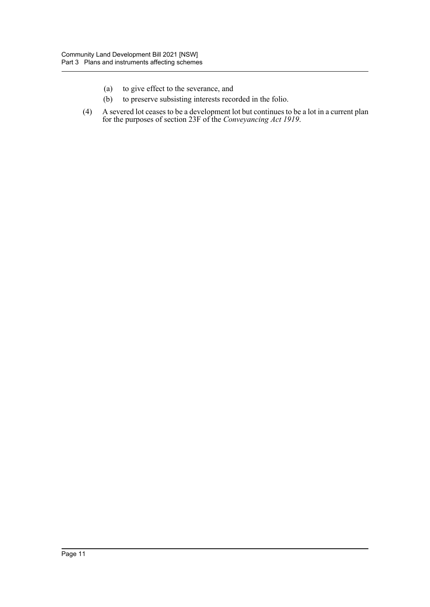- (a) to give effect to the severance, and
- (b) to preserve subsisting interests recorded in the folio.
- (4) A severed lot ceases to be a development lot but continues to be a lot in a current plan for the purposes of section 23F of the *Conveyancing Act 1919*.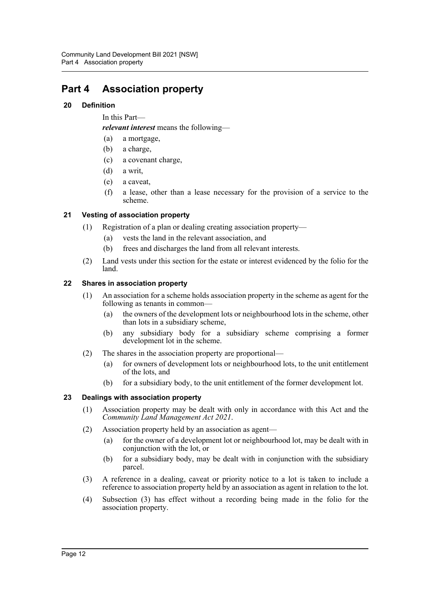## <span id="page-16-0"></span>**Part 4 Association property**

#### <span id="page-16-1"></span>**20 Definition**

In this Part—

*relevant interest* means the following—

- (a) a mortgage,
- (b) a charge,
- (c) a covenant charge,
- (d) a writ,
- (e) a caveat,
- (f) a lease, other than a lease necessary for the provision of a service to the scheme.

#### <span id="page-16-2"></span>**21 Vesting of association property**

- (1) Registration of a plan or dealing creating association property—
	- (a) vests the land in the relevant association, and
	- (b) frees and discharges the land from all relevant interests.
- (2) Land vests under this section for the estate or interest evidenced by the folio for the land.

#### <span id="page-16-3"></span>**22 Shares in association property**

- (1) An association for a scheme holds association property in the scheme as agent for the following as tenants in common—
	- (a) the owners of the development lots or neighbourhood lots in the scheme, other than lots in a subsidiary scheme,
	- (b) any subsidiary body for a subsidiary scheme comprising a former development lot in the scheme.
- (2) The shares in the association property are proportional—
	- (a) for owners of development lots or neighbourhood lots, to the unit entitlement of the lots, and
	- (b) for a subsidiary body, to the unit entitlement of the former development lot.

#### <span id="page-16-4"></span>**23 Dealings with association property**

- (1) Association property may be dealt with only in accordance with this Act and the *Community Land Management Act 2021*.
- (2) Association property held by an association as agent—
	- (a) for the owner of a development lot or neighbourhood lot, may be dealt with in conjunction with the lot, or
	- (b) for a subsidiary body, may be dealt with in conjunction with the subsidiary parcel.
- (3) A reference in a dealing, caveat or priority notice to a lot is taken to include a reference to association property held by an association as agent in relation to the lot.
- (4) Subsection (3) has effect without a recording being made in the folio for the association property.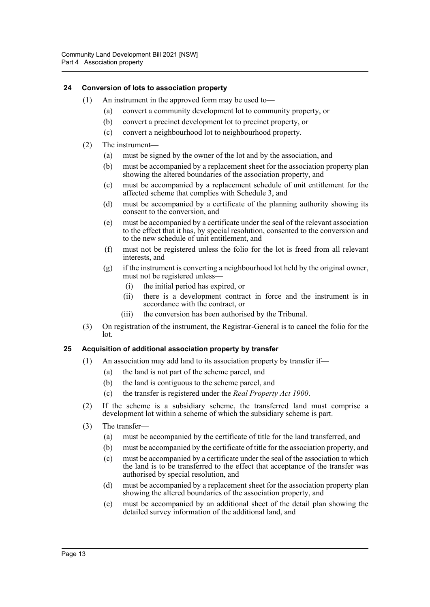#### <span id="page-17-0"></span>**24 Conversion of lots to association property**

- (1) An instrument in the approved form may be used to—
	- (a) convert a community development lot to community property, or
	- (b) convert a precinct development lot to precinct property, or
	- (c) convert a neighbourhood lot to neighbourhood property.
- (2) The instrument—
	- (a) must be signed by the owner of the lot and by the association, and
	- (b) must be accompanied by a replacement sheet for the association property plan showing the altered boundaries of the association property, and
	- (c) must be accompanied by a replacement schedule of unit entitlement for the affected scheme that complies with Schedule 3, and
	- (d) must be accompanied by a certificate of the planning authority showing its consent to the conversion, and
	- (e) must be accompanied by a certificate under the seal of the relevant association to the effect that it has, by special resolution, consented to the conversion and to the new schedule of unit entitlement, and
	- (f) must not be registered unless the folio for the lot is freed from all relevant interests, and
	- (g) if the instrument is converting a neighbourhood lot held by the original owner, must not be registered unless—
		- (i) the initial period has expired, or
		- (ii) there is a development contract in force and the instrument is in accordance with the contract, or
		- (iii) the conversion has been authorised by the Tribunal.
- (3) On registration of the instrument, the Registrar-General is to cancel the folio for the lot.

#### <span id="page-17-1"></span>**25 Acquisition of additional association property by transfer**

- (1) An association may add land to its association property by transfer if—
	- (a) the land is not part of the scheme parcel, and
	- (b) the land is contiguous to the scheme parcel, and
	- (c) the transfer is registered under the *Real Property Act 1900*.
- (2) If the scheme is a subsidiary scheme, the transferred land must comprise a development lot within a scheme of which the subsidiary scheme is part.
- (3) The transfer—
	- (a) must be accompanied by the certificate of title for the land transferred, and
	- (b) must be accompanied by the certificate of title for the association property, and
	- (c) must be accompanied by a certificate under the seal of the association to which the land is to be transferred to the effect that acceptance of the transfer was authorised by special resolution, and
	- (d) must be accompanied by a replacement sheet for the association property plan showing the altered boundaries of the association property, and
	- (e) must be accompanied by an additional sheet of the detail plan showing the detailed survey information of the additional land, and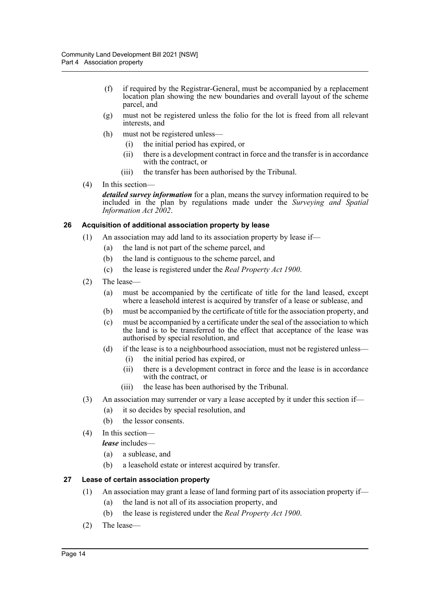- (f) if required by the Registrar-General, must be accompanied by a replacement location plan showing the new boundaries and overall layout of the scheme parcel, and
- (g) must not be registered unless the folio for the lot is freed from all relevant interests, and
- (h) must not be registered unless—
	- (i) the initial period has expired, or
	- (ii) there is a development contract in force and the transfer is in accordance with the contract, or
	- (iii) the transfer has been authorised by the Tribunal.
- (4) In this section—

*detailed survey information* for a plan, means the survey information required to be included in the plan by regulations made under the *Surveying and Spatial Information Act 2002*.

#### <span id="page-18-0"></span>**26 Acquisition of additional association property by lease**

- (1) An association may add land to its association property by lease if—
	- (a) the land is not part of the scheme parcel, and
	- (b) the land is contiguous to the scheme parcel, and
	- (c) the lease is registered under the *Real Property Act 1900*.
- (2) The lease—
	- (a) must be accompanied by the certificate of title for the land leased, except where a leasehold interest is acquired by transfer of a lease or sublease, and
	- (b) must be accompanied by the certificate of title for the association property, and
	- (c) must be accompanied by a certificate under the seal of the association to which the land is to be transferred to the effect that acceptance of the lease was authorised by special resolution, and
	- (d) if the lease is to a neighbourhood association, must not be registered unless—
		- (i) the initial period has expired, or
		- (ii) there is a development contract in force and the lease is in accordance with the contract, or
		- (iii) the lease has been authorised by the Tribunal.
- (3) An association may surrender or vary a lease accepted by it under this section if—
	- (a) it so decides by special resolution, and
	- (b) the lessor consents.
- (4) In this section—

*lease* includes—

- (a) a sublease, and
- (b) a leasehold estate or interest acquired by transfer.

#### <span id="page-18-1"></span>**27 Lease of certain association property**

- (1) An association may grant a lease of land forming part of its association property if—
	- (a) the land is not all of its association property, and
	- (b) the lease is registered under the *Real Property Act 1900*.
- (2) The lease—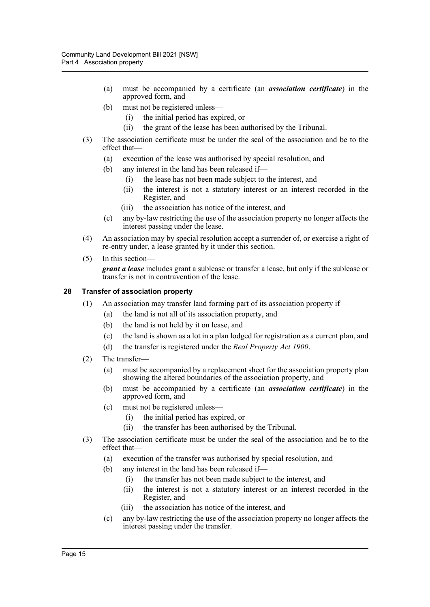- (a) must be accompanied by a certificate (an *association certificate*) in the approved form, and
- (b) must not be registered unless—
	- (i) the initial period has expired, or
	- (ii) the grant of the lease has been authorised by the Tribunal.
- (3) The association certificate must be under the seal of the association and be to the effect that—
	- (a) execution of the lease was authorised by special resolution, and
	- (b) any interest in the land has been released if—
		- (i) the lease has not been made subject to the interest, and
		- (ii) the interest is not a statutory interest or an interest recorded in the Register, and
		- (iii) the association has notice of the interest, and
	- (c) any by-law restricting the use of the association property no longer affects the interest passing under the lease.
- (4) An association may by special resolution accept a surrender of, or exercise a right of re-entry under, a lease granted by it under this section.
- (5) In this section—

*grant a lease* includes grant a sublease or transfer a lease, but only if the sublease or transfer is not in contravention of the lease.

#### <span id="page-19-0"></span>**28 Transfer of association property**

- (1) An association may transfer land forming part of its association property if—
	- (a) the land is not all of its association property, and
	- (b) the land is not held by it on lease, and
	- (c) the land is shown as a lot in a plan lodged for registration as a current plan, and
	- (d) the transfer is registered under the *Real Property Act 1900*.
- (2) The transfer—
	- (a) must be accompanied by a replacement sheet for the association property plan showing the altered boundaries of the association property, and
	- (b) must be accompanied by a certificate (an *association certificate*) in the approved form, and
	- (c) must not be registered unless—
		- (i) the initial period has expired, or
		- (ii) the transfer has been authorised by the Tribunal.
- (3) The association certificate must be under the seal of the association and be to the effect that—
	- (a) execution of the transfer was authorised by special resolution, and
	- (b) any interest in the land has been released if—
		- (i) the transfer has not been made subject to the interest, and
		- (ii) the interest is not a statutory interest or an interest recorded in the Register, and
		- (iii) the association has notice of the interest, and
	- (c) any by-law restricting the use of the association property no longer affects the interest passing under the transfer.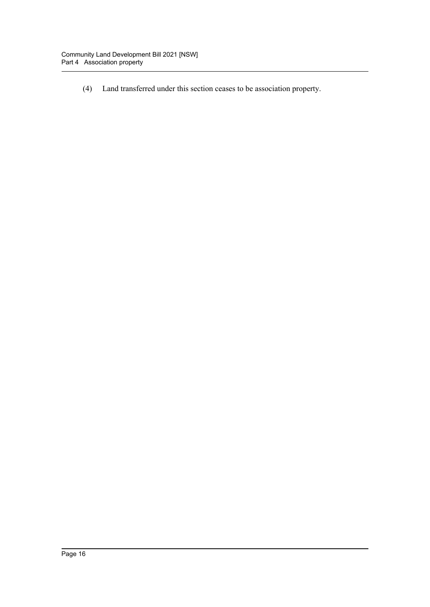(4) Land transferred under this section ceases to be association property.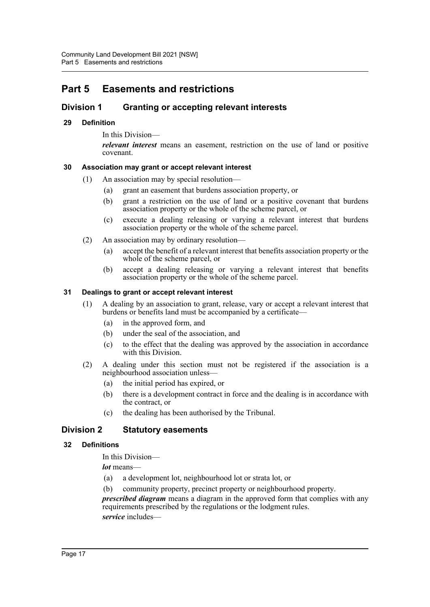# <span id="page-21-0"></span>**Part 5 Easements and restrictions**

### <span id="page-21-1"></span>**Division 1 Granting or accepting relevant interests**

#### <span id="page-21-2"></span>**29 Definition**

In this Division—

*relevant interest* means an easement, restriction on the use of land or positive covenant.

#### <span id="page-21-3"></span>**30 Association may grant or accept relevant interest**

- (1) An association may by special resolution—
	- (a) grant an easement that burdens association property, or
	- (b) grant a restriction on the use of land or a positive covenant that burdens association property or the whole of the scheme parcel, or
	- (c) execute a dealing releasing or varying a relevant interest that burdens association property or the whole of the scheme parcel.
- (2) An association may by ordinary resolution—
	- (a) accept the benefit of a relevant interest that benefits association property or the whole of the scheme parcel, or
	- (b) accept a dealing releasing or varying a relevant interest that benefits association property or the whole of the scheme parcel.

#### <span id="page-21-4"></span>**31 Dealings to grant or accept relevant interest**

- (1) A dealing by an association to grant, release, vary or accept a relevant interest that burdens or benefits land must be accompanied by a certificate—
	- (a) in the approved form, and
	- (b) under the seal of the association, and
	- (c) to the effect that the dealing was approved by the association in accordance with this Division.
- (2) A dealing under this section must not be registered if the association is a neighbourhood association unless—
	- (a) the initial period has expired, or
	- (b) there is a development contract in force and the dealing is in accordance with the contract, or
	- (c) the dealing has been authorised by the Tribunal.

#### <span id="page-21-5"></span>**Division 2 Statutory easements**

#### <span id="page-21-6"></span>**32 Definitions**

In this Division—

*lot* means—

- (a) a development lot, neighbourhood lot or strata lot, or
- (b) community property, precinct property or neighbourhood property.

*prescribed diagram* means a diagram in the approved form that complies with any requirements prescribed by the regulations or the lodgment rules. *service* includes—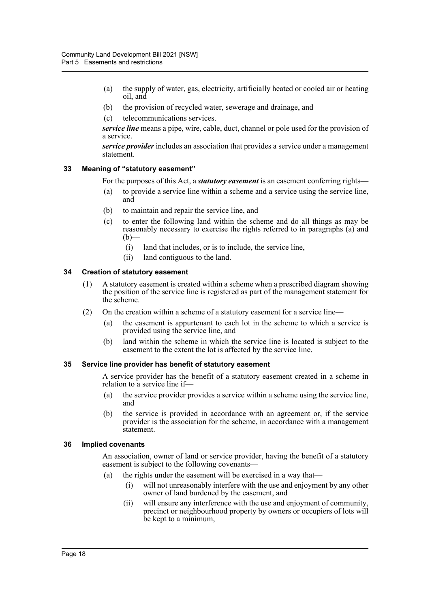- (a) the supply of water, gas, electricity, artificially heated or cooled air or heating oil, and
- (b) the provision of recycled water, sewerage and drainage, and
- (c) telecommunications services.

*service line* means a pipe, wire, cable, duct, channel or pole used for the provision of a service.

*service provider* includes an association that provides a service under a management statement.

#### <span id="page-22-0"></span>**33 Meaning of "statutory easement"**

For the purposes of this Act, a *statutory easement* is an easement conferring rights—

- (a) to provide a service line within a scheme and a service using the service line, and
- (b) to maintain and repair the service line, and
- (c) to enter the following land within the scheme and do all things as may be reasonably necessary to exercise the rights referred to in paragraphs (a) and  $(b)$ 
	- (i) land that includes, or is to include, the service line,
	- (ii) land contiguous to the land.

#### <span id="page-22-1"></span>**34 Creation of statutory easement**

- (1) A statutory easement is created within a scheme when a prescribed diagram showing the position of the service line is registered as part of the management statement for the scheme.
- (2) On the creation within a scheme of a statutory easement for a service line—
	- (a) the easement is appurtenant to each lot in the scheme to which a service is provided using the service line, and
	- (b) land within the scheme in which the service line is located is subject to the easement to the extent the lot is affected by the service line.

#### <span id="page-22-2"></span>**35 Service line provider has benefit of statutory easement**

A service provider has the benefit of a statutory easement created in a scheme in relation to a service line if—

- (a) the service provider provides a service within a scheme using the service line, and
- (b) the service is provided in accordance with an agreement or, if the service provider is the association for the scheme, in accordance with a management statement.

#### <span id="page-22-3"></span>**36 Implied covenants**

An association, owner of land or service provider, having the benefit of a statutory easement is subject to the following covenants—

- (a) the rights under the easement will be exercised in a way that—
	- (i) will not unreasonably interfere with the use and enjoyment by any other owner of land burdened by the easement, and
	- (ii) will ensure any interference with the use and enjoyment of community, precinct or neighbourhood property by owners or occupiers of lots will be kept to a minimum,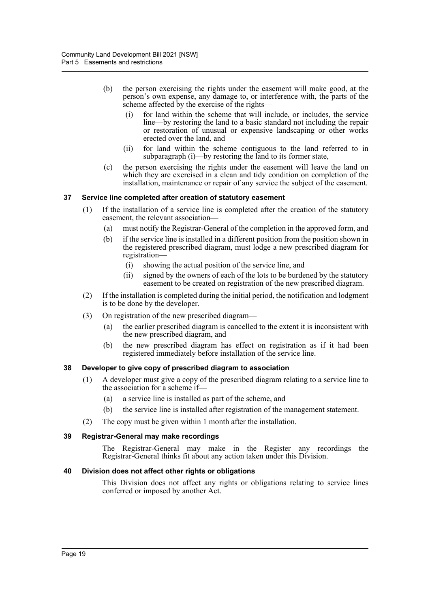- (b) the person exercising the rights under the easement will make good, at the person's own expense, any damage to, or interference with, the parts of the scheme affected by the exercise of the rights—
	- (i) for land within the scheme that will include, or includes, the service line—by restoring the land to a basic standard not including the repair or restoration of unusual or expensive landscaping or other works erected over the land, and
	- (ii) for land within the scheme contiguous to the land referred to in subparagraph (i)—by restoring the land to its former state,
- (c) the person exercising the rights under the easement will leave the land on which they are exercised in a clean and tidy condition on completion of the installation, maintenance or repair of any service the subject of the easement.

#### <span id="page-23-0"></span>**37 Service line completed after creation of statutory easement**

- (1) If the installation of a service line is completed after the creation of the statutory easement, the relevant association—
	- (a) must notify the Registrar-General of the completion in the approved form, and
	- (b) if the service line is installed in a different position from the position shown in the registered prescribed diagram, must lodge a new prescribed diagram for registration—
		- (i) showing the actual position of the service line, and
		- (ii) signed by the owners of each of the lots to be burdened by the statutory easement to be created on registration of the new prescribed diagram.
- (2) If the installation is completed during the initial period, the notification and lodgment is to be done by the developer.
- (3) On registration of the new prescribed diagram—
	- (a) the earlier prescribed diagram is cancelled to the extent it is inconsistent with the new prescribed diagram, and
	- (b) the new prescribed diagram has effect on registration as if it had been registered immediately before installation of the service line.

#### <span id="page-23-1"></span>**38 Developer to give copy of prescribed diagram to association**

- (1) A developer must give a copy of the prescribed diagram relating to a service line to the association for a scheme if—
	- (a) a service line is installed as part of the scheme, and
	- (b) the service line is installed after registration of the management statement.
- (2) The copy must be given within 1 month after the installation.

#### <span id="page-23-2"></span>**39 Registrar-General may make recordings**

The Registrar-General may make in the Register any recordings the Registrar-General thinks fit about any action taken under this Division.

#### <span id="page-23-3"></span>**40 Division does not affect other rights or obligations**

This Division does not affect any rights or obligations relating to service lines conferred or imposed by another Act.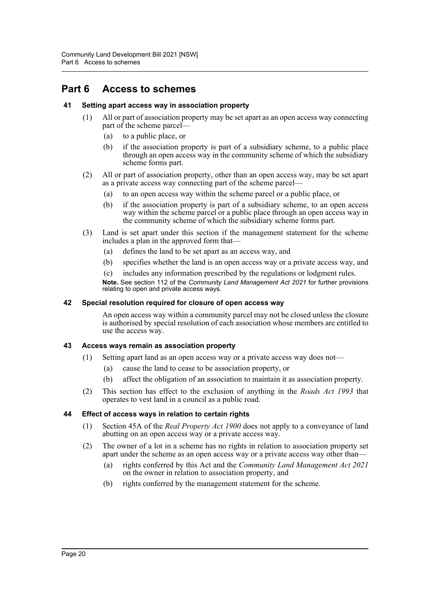### <span id="page-24-0"></span>**Part 6 Access to schemes**

#### <span id="page-24-1"></span>**41 Setting apart access way in association property**

- (1) All or part of association property may be set apart as an open access way connecting part of the scheme parcel—
	- (a) to a public place, or
	- (b) if the association property is part of a subsidiary scheme, to a public place through an open access way in the community scheme of which the subsidiary scheme forms part.
- (2) All or part of association property, other than an open access way, may be set apart as a private access way connecting part of the scheme parcel—
	- (a) to an open access way within the scheme parcel or a public place, or
	- (b) if the association property is part of a subsidiary scheme, to an open access way within the scheme parcel or a public place through an open access way in the community scheme of which the subsidiary scheme forms part.
- (3) Land is set apart under this section if the management statement for the scheme includes a plan in the approved form that—
	- (a) defines the land to be set apart as an access way, and
	- (b) specifies whether the land is an open access way or a private access way, and
	- (c) includes any information prescribed by the regulations or lodgment rules.

**Note.** See section 112 of the *Community Land Management Act 2021* for further provisions relating to open and private access ways.

#### <span id="page-24-2"></span>**42 Special resolution required for closure of open access way**

An open access way within a community parcel may not be closed unless the closure is authorised by special resolution of each association whose members are entitled to use the access way.

#### <span id="page-24-3"></span>**43 Access ways remain as association property**

- (1) Setting apart land as an open access way or a private access way does not—
	- (a) cause the land to cease to be association property, or
	- (b) affect the obligation of an association to maintain it as association property.
- (2) This section has effect to the exclusion of anything in the *Roads Act 1993* that operates to vest land in a council as a public road.

#### <span id="page-24-4"></span>**44 Effect of access ways in relation to certain rights**

- (1) Section 45A of the *Real Property Act 1900* does not apply to a conveyance of land abutting on an open access way or a private access way.
- (2) The owner of a lot in a scheme has no rights in relation to association property set apart under the scheme as an open access way or a private access way other than—
	- (a) rights conferred by this Act and the *Community Land Management Act 2021* on the owner in relation to association property, and
	- (b) rights conferred by the management statement for the scheme.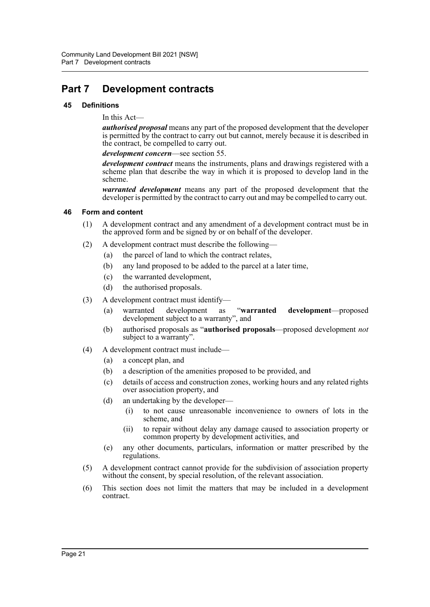## <span id="page-25-0"></span>**Part 7 Development contracts**

#### <span id="page-25-1"></span>**45 Definitions**

In this Act—

*authorised proposal* means any part of the proposed development that the developer is permitted by the contract to carry out but cannot, merely because it is described in the contract, be compelled to carry out.

*development concern*—see section 55.

*development contract* means the instruments, plans and drawings registered with a scheme plan that describe the way in which it is proposed to develop land in the scheme.

*warranted development* means any part of the proposed development that the developer is permitted by the contract to carry out and may be compelled to carry out.

#### <span id="page-25-2"></span>**46 Form and content**

- (1) A development contract and any amendment of a development contract must be in the approved form and be signed by or on behalf of the developer.
- (2) A development contract must describe the following—
	- (a) the parcel of land to which the contract relates,
	- (b) any land proposed to be added to the parcel at a later time,
	- (c) the warranted development,
	- (d) the authorised proposals.
- (3) A development contract must identify—
	- (a) warranted development as "**warranted development**—proposed development subject to a warranty", and
	- (b) authorised proposals as "**authorised proposals**—proposed development *not* subject to a warranty".
- (4) A development contract must include—
	- (a) a concept plan, and
	- (b) a description of the amenities proposed to be provided, and
	- (c) details of access and construction zones, working hours and any related rights over association property, and
	- (d) an undertaking by the developer—
		- (i) to not cause unreasonable inconvenience to owners of lots in the scheme, and
		- (ii) to repair without delay any damage caused to association property or common property by development activities, and
	- (e) any other documents, particulars, information or matter prescribed by the regulations.
- (5) A development contract cannot provide for the subdivision of association property without the consent, by special resolution, of the relevant association.
- (6) This section does not limit the matters that may be included in a development contract.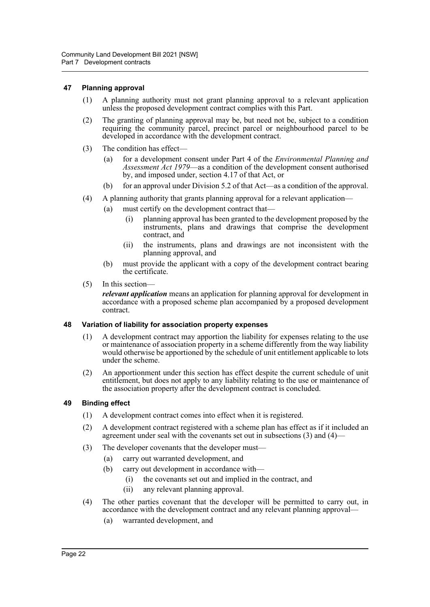#### <span id="page-26-0"></span>**47 Planning approval**

- (1) A planning authority must not grant planning approval to a relevant application unless the proposed development contract complies with this Part.
- (2) The granting of planning approval may be, but need not be, subject to a condition requiring the community parcel, precinct parcel or neighbourhood parcel to be developed in accordance with the development contract.
- (3) The condition has effect—
	- (a) for a development consent under Part 4 of the *Environmental Planning and Assessment Act 1979*—as a condition of the development consent authorised by, and imposed under, section 4.17 of that Act, or
	- (b) for an approval under Division 5.2 of that Act—as a condition of the approval.
- (4) A planning authority that grants planning approval for a relevant application—
	- (a) must certify on the development contract that—
		- (i) planning approval has been granted to the development proposed by the instruments, plans and drawings that comprise the development contract, and
		- (ii) the instruments, plans and drawings are not inconsistent with the planning approval, and
	- (b) must provide the applicant with a copy of the development contract bearing the certificate.
- (5) In this section—

*relevant application* means an application for planning approval for development in accordance with a proposed scheme plan accompanied by a proposed development contract.

#### <span id="page-26-1"></span>**48 Variation of liability for association property expenses**

- (1) A development contract may apportion the liability for expenses relating to the use or maintenance of association property in a scheme differently from the way liability would otherwise be apportioned by the schedule of unit entitlement applicable to lots under the scheme.
- (2) An apportionment under this section has effect despite the current schedule of unit entitlement, but does not apply to any liability relating to the use or maintenance of the association property after the development contract is concluded.

#### <span id="page-26-2"></span>**49 Binding effect**

- (1) A development contract comes into effect when it is registered.
- (2) A development contract registered with a scheme plan has effect as if it included an agreement under seal with the covenants set out in subsections (3) and (4)—
- (3) The developer covenants that the developer must—
	- (a) carry out warranted development, and
	- (b) carry out development in accordance with—
		- (i) the covenants set out and implied in the contract, and
		- (ii) any relevant planning approval.
- (4) The other parties covenant that the developer will be permitted to carry out, in accordance with the development contract and any relevant planning approval—
	- (a) warranted development, and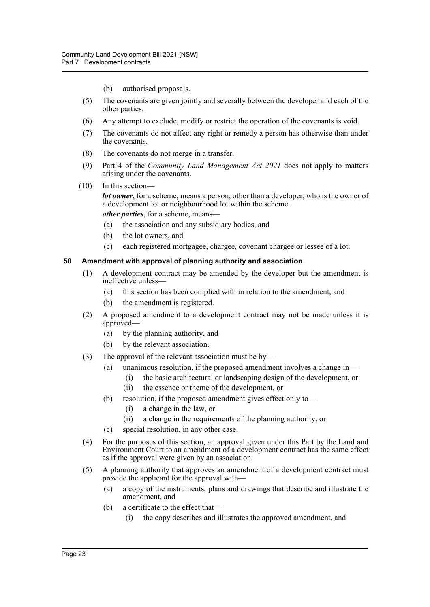- (b) authorised proposals.
- (5) The covenants are given jointly and severally between the developer and each of the other parties.
- (6) Any attempt to exclude, modify or restrict the operation of the covenants is void.
- (7) The covenants do not affect any right or remedy a person has otherwise than under the covenants.
- (8) The covenants do not merge in a transfer.
- (9) Part 4 of the *Community Land Management Act 2021* does not apply to matters arising under the covenants.
- (10) In this section—

*lot owner*, for a scheme, means a person, other than a developer, who is the owner of a development lot or neighbourhood lot within the scheme.

*other parties*, for a scheme, means—

- (a) the association and any subsidiary bodies, and
- (b) the lot owners, and
- (c) each registered mortgagee, chargee, covenant chargee or lessee of a lot.

#### <span id="page-27-0"></span>**50 Amendment with approval of planning authority and association**

- (1) A development contract may be amended by the developer but the amendment is ineffective unless—
	- (a) this section has been complied with in relation to the amendment, and
	- (b) the amendment is registered.
- (2) A proposed amendment to a development contract may not be made unless it is approved—
	- (a) by the planning authority, and
	- (b) by the relevant association.
- (3) The approval of the relevant association must be by—
	- (a) unanimous resolution, if the proposed amendment involves a change in—
		- (i) the basic architectural or landscaping design of the development, or
		- (ii) the essence or theme of the development, or
	- (b) resolution, if the proposed amendment gives effect only to—
		- (i) a change in the law, or
		- (ii) a change in the requirements of the planning authority, or
	- (c) special resolution, in any other case.
- (4) For the purposes of this section, an approval given under this Part by the Land and Environment Court to an amendment of a development contract has the same effect as if the approval were given by an association.
- (5) A planning authority that approves an amendment of a development contract must provide the applicant for the approval with—
	- (a) a copy of the instruments, plans and drawings that describe and illustrate the amendment, and
	- (b) a certificate to the effect that—
		- (i) the copy describes and illustrates the approved amendment, and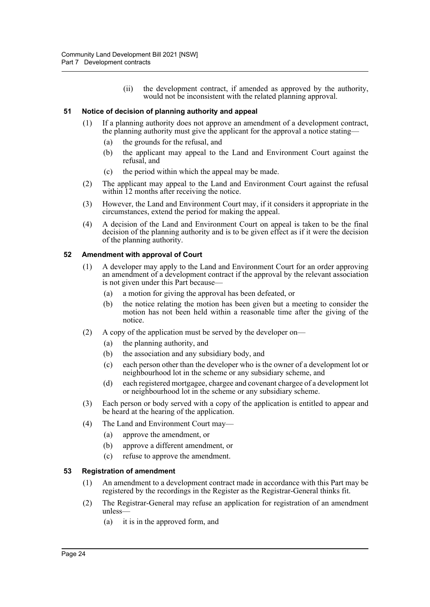(ii) the development contract, if amended as approved by the authority, would not be inconsistent with the related planning approval.

#### <span id="page-28-0"></span>**51 Notice of decision of planning authority and appeal**

- (1) If a planning authority does not approve an amendment of a development contract, the planning authority must give the applicant for the approval a notice stating—
	- (a) the grounds for the refusal, and
	- (b) the applicant may appeal to the Land and Environment Court against the refusal, and
	- (c) the period within which the appeal may be made.
- (2) The applicant may appeal to the Land and Environment Court against the refusal within 12 months after receiving the notice.
- (3) However, the Land and Environment Court may, if it considers it appropriate in the circumstances, extend the period for making the appeal.
- (4) A decision of the Land and Environment Court on appeal is taken to be the final decision of the planning authority and is to be given effect as if it were the decision of the planning authority.

#### <span id="page-28-1"></span>**52 Amendment with approval of Court**

- (1) A developer may apply to the Land and Environment Court for an order approving an amendment of a development contract if the approval by the relevant association is not given under this Part because—
	- (a) a motion for giving the approval has been defeated, or
	- (b) the notice relating the motion has been given but a meeting to consider the motion has not been held within a reasonable time after the giving of the notice.
- (2) A copy of the application must be served by the developer on—
	- (a) the planning authority, and
	- (b) the association and any subsidiary body, and
	- (c) each person other than the developer who is the owner of a development lot or neighbourhood lot in the scheme or any subsidiary scheme, and
	- (d) each registered mortgagee, chargee and covenant chargee of a development lot or neighbourhood lot in the scheme or any subsidiary scheme.
- (3) Each person or body served with a copy of the application is entitled to appear and be heard at the hearing of the application.
- (4) The Land and Environment Court may—
	- (a) approve the amendment, or
	- (b) approve a different amendment, or
	- (c) refuse to approve the amendment.

#### <span id="page-28-2"></span>**53 Registration of amendment**

- (1) An amendment to a development contract made in accordance with this Part may be registered by the recordings in the Register as the Registrar-General thinks fit.
- (2) The Registrar-General may refuse an application for registration of an amendment unless—
	- (a) it is in the approved form, and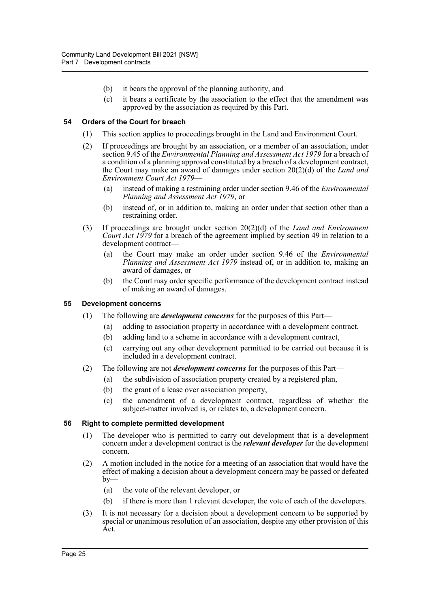- (b) it bears the approval of the planning authority, and
- (c) it bears a certificate by the association to the effect that the amendment was approved by the association as required by this Part.

#### <span id="page-29-0"></span>**54 Orders of the Court for breach**

- (1) This section applies to proceedings brought in the Land and Environment Court.
- (2) If proceedings are brought by an association, or a member of an association, under section 9.45 of the *Environmental Planning and Assessment Act 1979* for a breach of a condition of a planning approval constituted by a breach of a development contract, the Court may make an award of damages under section 20(2)(d) of the *Land and Environment Court Act 1979*—
	- (a) instead of making a restraining order under section 9.46 of the *Environmental Planning and Assessment Act 1979*, or
	- (b) instead of, or in addition to, making an order under that section other than a restraining order.
- (3) If proceedings are brought under section 20(2)(d) of the *Land and Environment Court Act 1979* for a breach of the agreement implied by section 49 in relation to a development contract—
	- (a) the Court may make an order under section 9.46 of the *Environmental Planning and Assessment Act 1979* instead of, or in addition to, making an award of damages, or
	- (b) the Court may order specific performance of the development contract instead of making an award of damages.

#### <span id="page-29-1"></span>**55 Development concerns**

- (1) The following are *development concerns* for the purposes of this Part—
	- (a) adding to association property in accordance with a development contract,
	- (b) adding land to a scheme in accordance with a development contract,
	- (c) carrying out any other development permitted to be carried out because it is included in a development contract.
- (2) The following are not *development concerns* for the purposes of this Part—
	- (a) the subdivision of association property created by a registered plan,
	- (b) the grant of a lease over association property,
	- (c) the amendment of a development contract, regardless of whether the subject-matter involved is, or relates to, a development concern.

#### <span id="page-29-2"></span>**56 Right to complete permitted development**

- (1) The developer who is permitted to carry out development that is a development concern under a development contract is the *relevant developer* for the development concern.
- (2) A motion included in the notice for a meeting of an association that would have the effect of making a decision about a development concern may be passed or defeated  $by-$ 
	- (a) the vote of the relevant developer, or
	- (b) if there is more than 1 relevant developer, the vote of each of the developers.
- (3) It is not necessary for a decision about a development concern to be supported by special or unanimous resolution of an association, despite any other provision of this Act.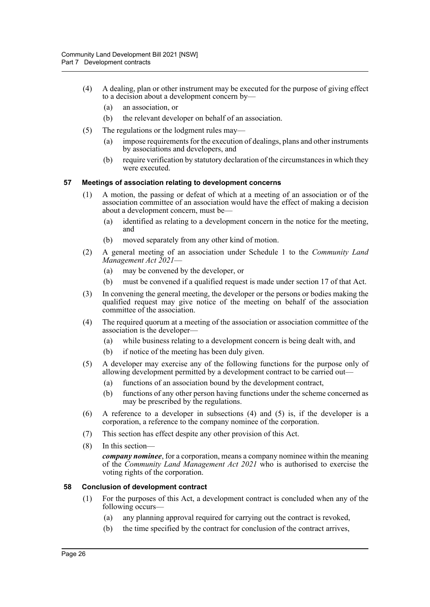- (4) A dealing, plan or other instrument may be executed for the purpose of giving effect to a decision about a development concern by—
	- (a) an association, or
	- (b) the relevant developer on behalf of an association.
- (5) The regulations or the lodgment rules may—
	- (a) impose requirements for the execution of dealings, plans and other instruments by associations and developers, and
	- (b) require verification by statutory declaration of the circumstances in which they were executed.

#### <span id="page-30-0"></span>**57 Meetings of association relating to development concerns**

- (1) A motion, the passing or defeat of which at a meeting of an association or of the association committee of an association would have the effect of making a decision about a development concern, must be—
	- (a) identified as relating to a development concern in the notice for the meeting, and
	- (b) moved separately from any other kind of motion.
- (2) A general meeting of an association under Schedule 1 to the *Community Land Management Act 2021*—
	- (a) may be convened by the developer, or
	- (b) must be convened if a qualified request is made under section 17 of that Act.
- (3) In convening the general meeting, the developer or the persons or bodies making the qualified request may give notice of the meeting on behalf of the association committee of the association.
- (4) The required quorum at a meeting of the association or association committee of the association is the developer—
	- (a) while business relating to a development concern is being dealt with, and
	- (b) if notice of the meeting has been duly given.
- (5) A developer may exercise any of the following functions for the purpose only of allowing development permitted by a development contract to be carried out—
	- (a) functions of an association bound by the development contract,
	- (b) functions of any other person having functions under the scheme concerned as may be prescribed by the regulations.
- (6) A reference to a developer in subsections (4) and (5) is, if the developer is a corporation, a reference to the company nominee of the corporation.
- (7) This section has effect despite any other provision of this Act.
- (8) In this section—

*company nominee*, for a corporation, means a company nominee within the meaning of the *Community Land Management Act 2021* who is authorised to exercise the voting rights of the corporation.

#### <span id="page-30-1"></span>**58 Conclusion of development contract**

- (1) For the purposes of this Act, a development contract is concluded when any of the following occurs—
	- (a) any planning approval required for carrying out the contract is revoked,
	- (b) the time specified by the contract for conclusion of the contract arrives,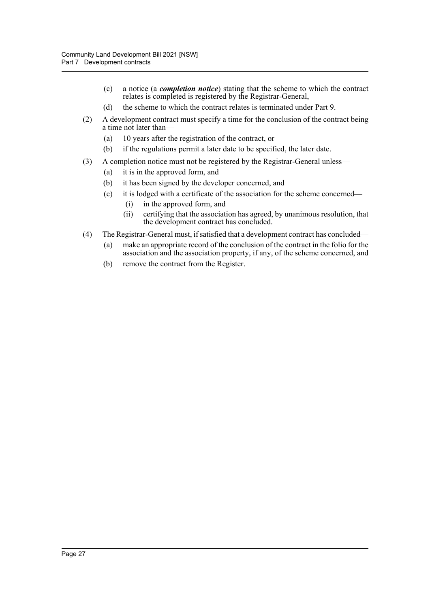- (c) a notice (a *completion notice*) stating that the scheme to which the contract relates is completed is registered by the Registrar-General,
- (d) the scheme to which the contract relates is terminated under Part 9.
- (2) A development contract must specify a time for the conclusion of the contract being a time not later than—
	- (a) 10 years after the registration of the contract, or
	- (b) if the regulations permit a later date to be specified, the later date.
- (3) A completion notice must not be registered by the Registrar-General unless—
	- (a) it is in the approved form, and
	- (b) it has been signed by the developer concerned, and
	- (c) it is lodged with a certificate of the association for the scheme concerned—
		- (i) in the approved form, and
		- (ii) certifying that the association has agreed, by unanimous resolution, that the development contract has concluded.
- (4) The Registrar-General must, if satisfied that a development contract has concluded—
	- (a) make an appropriate record of the conclusion of the contract in the folio for the association and the association property, if any, of the scheme concerned, and
	- (b) remove the contract from the Register.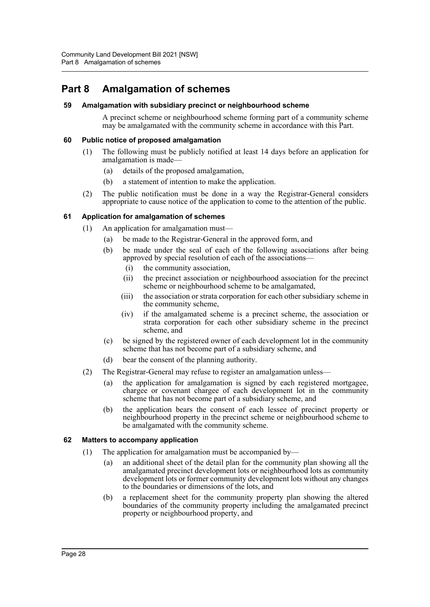## <span id="page-32-0"></span>**Part 8 Amalgamation of schemes**

#### <span id="page-32-1"></span>**59 Amalgamation with subsidiary precinct or neighbourhood scheme**

A precinct scheme or neighbourhood scheme forming part of a community scheme may be amalgamated with the community scheme in accordance with this Part.

#### <span id="page-32-2"></span>**60 Public notice of proposed amalgamation**

- (1) The following must be publicly notified at least 14 days before an application for amalgamation is made—
	- (a) details of the proposed amalgamation,
	- (b) a statement of intention to make the application.
- (2) The public notification must be done in a way the Registrar-General considers appropriate to cause notice of the application to come to the attention of the public.

#### <span id="page-32-3"></span>**61 Application for amalgamation of schemes**

- (1) An application for amalgamation must—
	- (a) be made to the Registrar-General in the approved form, and
	- (b) be made under the seal of each of the following associations after being approved by special resolution of each of the associations—
		- (i) the community association,
		- (ii) the precinct association or neighbourhood association for the precinct scheme or neighbourhood scheme to be amalgamated,
		- (iii) the association or strata corporation for each other subsidiary scheme in the community scheme,
		- (iv) if the amalgamated scheme is a precinct scheme, the association or strata corporation for each other subsidiary scheme in the precinct scheme, and
	- (c) be signed by the registered owner of each development lot in the community scheme that has not become part of a subsidiary scheme, and
	- (d) bear the consent of the planning authority.
- (2) The Registrar-General may refuse to register an amalgamation unless—
	- (a) the application for amalgamation is signed by each registered mortgagee, chargee or covenant chargee of each development lot in the community scheme that has not become part of a subsidiary scheme, and
	- (b) the application bears the consent of each lessee of precinct property or neighbourhood property in the precinct scheme or neighbourhood scheme to be amalgamated with the community scheme.

#### <span id="page-32-4"></span>**62 Matters to accompany application**

- (1) The application for amalgamation must be accompanied by—
	- (a) an additional sheet of the detail plan for the community plan showing all the amalgamated precinct development lots or neighbourhood lots as community development lots or former community development lots without any changes to the boundaries or dimensions of the lots, and
	- (b) a replacement sheet for the community property plan showing the altered boundaries of the community property including the amalgamated precinct property or neighbourhood property, and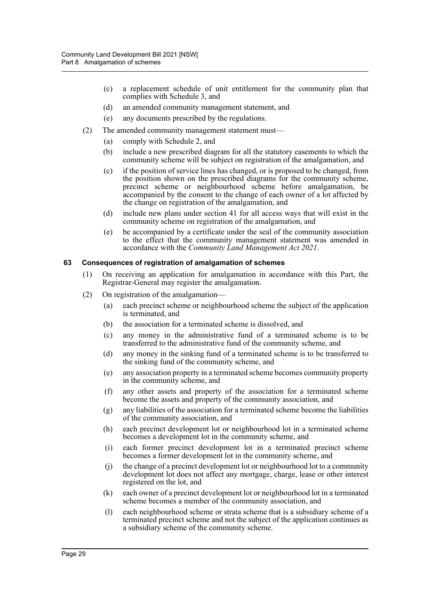- (c) a replacement schedule of unit entitlement for the community plan that complies with Schedule 3, and
- (d) an amended community management statement, and
- (e) any documents prescribed by the regulations.
- (2) The amended community management statement must—
	- (a) comply with Schedule 2, and
	- (b) include a new prescribed diagram for all the statutory easements to which the community scheme will be subject on registration of the amalgamation, and
	- (c) if the position of service lines has changed, or is proposed to be changed, from the position shown on the prescribed diagrams for the community scheme, precinct scheme or neighbourhood scheme before amalgamation, be accompanied by the consent to the change of each owner of a lot affected by the change on registration of the amalgamation, and
	- (d) include new plans under section 41 for all access ways that will exist in the community scheme on registration of the amalgamation, and
	- (e) be accompanied by a certificate under the seal of the community association to the effect that the community management statement was amended in accordance with the *Community Land Management Act 2021*.

#### <span id="page-33-0"></span>**63 Consequences of registration of amalgamation of schemes**

- (1) On receiving an application for amalgamation in accordance with this Part, the Registrar-General may register the amalgamation.
- (2) On registration of the amalgamation—
	- (a) each precinct scheme or neighbourhood scheme the subject of the application is terminated, and
	- (b) the association for a terminated scheme is dissolved, and
	- (c) any money in the administrative fund of a terminated scheme is to be transferred to the administrative fund of the community scheme, and
	- (d) any money in the sinking fund of a terminated scheme is to be transferred to the sinking fund of the community scheme, and
	- (e) any association property in a terminated scheme becomes community property in the community scheme, and
	- (f) any other assets and property of the association for a terminated scheme become the assets and property of the community association, and
	- (g) any liabilities of the association for a terminated scheme become the liabilities of the community association, and
	- (h) each precinct development lot or neighbourhood lot in a terminated scheme becomes a development lot in the community scheme, and
	- (i) each former precinct development lot in a terminated precinct scheme becomes a former development lot in the community scheme, and
	- (j) the change of a precinct development lot or neighbourhood lot to a community development lot does not affect any mortgage, charge, lease or other interest registered on the lot, and
	- (k) each owner of a precinct development lot or neighbourhood lot in a terminated scheme becomes a member of the community association, and
	- (l) each neighbourhood scheme or strata scheme that is a subsidiary scheme of a terminated precinct scheme and not the subject of the application continues as a subsidiary scheme of the community scheme.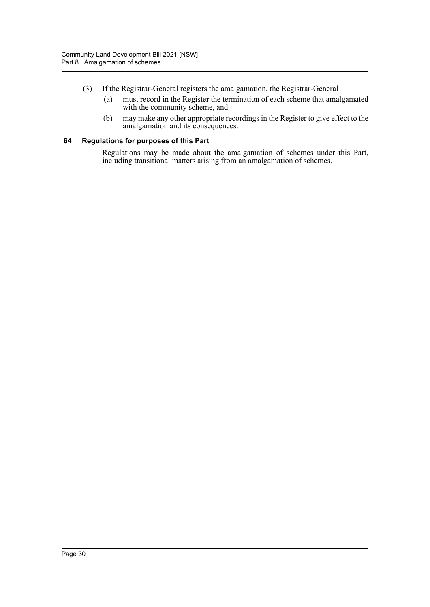- (3) If the Registrar-General registers the amalgamation, the Registrar-General—
	- (a) must record in the Register the termination of each scheme that amalgamated with the community scheme, and
	- (b) may make any other appropriate recordings in the Register to give effect to the amalgamation and its consequences.

#### <span id="page-34-0"></span>**64 Regulations for purposes of this Part**

Regulations may be made about the amalgamation of schemes under this Part, including transitional matters arising from an amalgamation of schemes.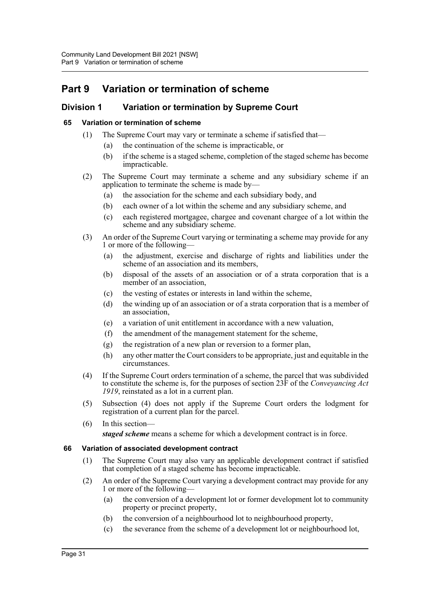# <span id="page-35-0"></span>**Part 9 Variation or termination of scheme**

### <span id="page-35-1"></span>**Division 1 Variation or termination by Supreme Court**

#### <span id="page-35-2"></span>**65 Variation or termination of scheme**

- (1) The Supreme Court may vary or terminate a scheme if satisfied that—
	- (a) the continuation of the scheme is impracticable, or
	- (b) if the scheme is a staged scheme, completion of the staged scheme has become impracticable.
- (2) The Supreme Court may terminate a scheme and any subsidiary scheme if an application to terminate the scheme is made by—
	- (a) the association for the scheme and each subsidiary body, and
	- (b) each owner of a lot within the scheme and any subsidiary scheme, and
	- (c) each registered mortgagee, chargee and covenant chargee of a lot within the scheme and any subsidiary scheme.
- (3) An order of the Supreme Court varying or terminating a scheme may provide for any 1 or more of the following—
	- (a) the adjustment, exercise and discharge of rights and liabilities under the scheme of an association and its members,
	- (b) disposal of the assets of an association or of a strata corporation that is a member of an association,
	- (c) the vesting of estates or interests in land within the scheme,
	- (d) the winding up of an association or of a strata corporation that is a member of an association,
	- (e) a variation of unit entitlement in accordance with a new valuation,
	- (f) the amendment of the management statement for the scheme,
	- (g) the registration of a new plan or reversion to a former plan,
	- (h) any other matter the Court considers to be appropriate, just and equitable in the circumstances.
- (4) If the Supreme Court orders termination of a scheme, the parcel that was subdivided to constitute the scheme is, for the purposes of section 23F of the *Conveyancing Act 1919*, reinstated as a lot in a current plan.
- (5) Subsection (4) does not apply if the Supreme Court orders the lodgment for registration of a current plan for the parcel.
- (6) In this section—

*staged scheme* means a scheme for which a development contract is in force.

#### <span id="page-35-3"></span>**66 Variation of associated development contract**

- (1) The Supreme Court may also vary an applicable development contract if satisfied that completion of a staged scheme has become impracticable.
- (2) An order of the Supreme Court varying a development contract may provide for any 1 or more of the following—
	- (a) the conversion of a development lot or former development lot to community property or precinct property,
	- (b) the conversion of a neighbourhood lot to neighbourhood property,
	- (c) the severance from the scheme of a development lot or neighbourhood lot,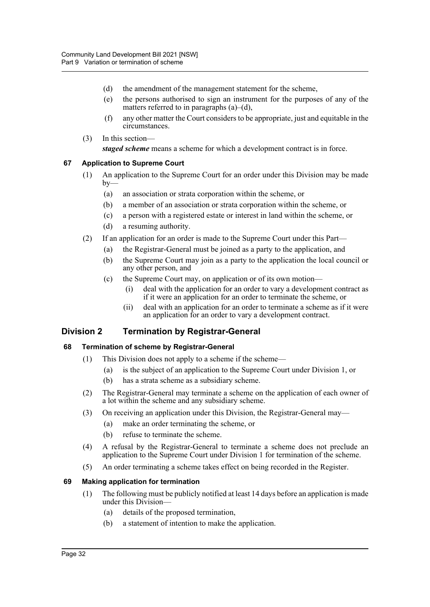- (d) the amendment of the management statement for the scheme,
- (e) the persons authorised to sign an instrument for the purposes of any of the matters referred to in paragraphs  $(a)$ – $(d)$ ,
- (f) any other matter the Court considers to be appropriate, just and equitable in the circumstances.
- (3) In this section *staged scheme* means a scheme for which a development contract is in force.

## **67 Application to Supreme Court**

- (1) An application to the Supreme Court for an order under this Division may be made  $by-$ 
	- (a) an association or strata corporation within the scheme, or
	- (b) a member of an association or strata corporation within the scheme, or
	- (c) a person with a registered estate or interest in land within the scheme, or
	- (d) a resuming authority.
- (2) If an application for an order is made to the Supreme Court under this Part—
	- (a) the Registrar-General must be joined as a party to the application, and
	- (b) the Supreme Court may join as a party to the application the local council or any other person, and
	- (c) the Supreme Court may, on application or of its own motion—
		- (i) deal with the application for an order to vary a development contract as if it were an application for an order to terminate the scheme, or
		- (ii) deal with an application for an order to terminate a scheme as if it were an application for an order to vary a development contract.

## **Division 2 Termination by Registrar-General**

## **68 Termination of scheme by Registrar-General**

- (1) This Division does not apply to a scheme if the scheme—
	- (a) is the subject of an application to the Supreme Court under Division 1, or
	- (b) has a strata scheme as a subsidiary scheme.
- (2) The Registrar-General may terminate a scheme on the application of each owner of a lot within the scheme and any subsidiary scheme.
- (3) On receiving an application under this Division, the Registrar-General may—
	- (a) make an order terminating the scheme, or
	- (b) refuse to terminate the scheme.
- (4) A refusal by the Registrar-General to terminate a scheme does not preclude an application to the Supreme Court under Division 1 for termination of the scheme.
- (5) An order terminating a scheme takes effect on being recorded in the Register.

#### **69 Making application for termination**

- (1) The following must be publicly notified at least 14 days before an application is made under this Division—
	- (a) details of the proposed termination,
	- (b) a statement of intention to make the application.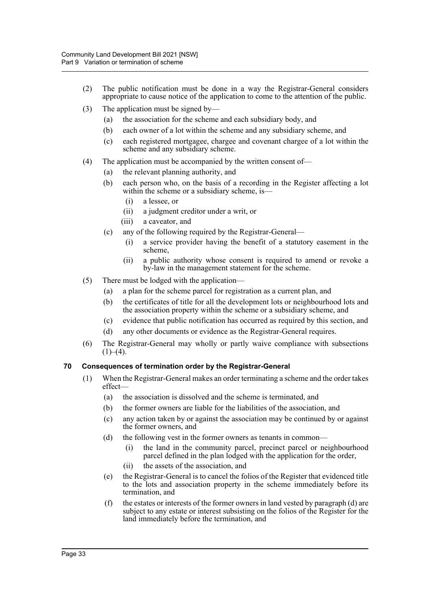- (2) The public notification must be done in a way the Registrar-General considers appropriate to cause notice of the application to come to the attention of the public.
- (3) The application must be signed by—
	- (a) the association for the scheme and each subsidiary body, and
	- (b) each owner of a lot within the scheme and any subsidiary scheme, and
	- (c) each registered mortgagee, chargee and covenant chargee of a lot within the scheme and any subsidiary scheme.
- (4) The application must be accompanied by the written consent of—
	- (a) the relevant planning authority, and
	- (b) each person who, on the basis of a recording in the Register affecting a lot within the scheme or a subsidiary scheme, is—
		- (i) a lessee, or
		- (ii) a judgment creditor under a writ, or
		- (iii) a caveator, and
	- (c) any of the following required by the Registrar-General—
		- (i) a service provider having the benefit of a statutory easement in the scheme,
		- (ii) a public authority whose consent is required to amend or revoke a by-law in the management statement for the scheme.
- (5) There must be lodged with the application—
	- (a) a plan for the scheme parcel for registration as a current plan, and
	- (b) the certificates of title for all the development lots or neighbourhood lots and the association property within the scheme or a subsidiary scheme, and
	- (c) evidence that public notification has occurred as required by this section, and
	- (d) any other documents or evidence as the Registrar-General requires.
- (6) The Registrar-General may wholly or partly waive compliance with subsections  $(1)–(4)$ .

#### **70 Consequences of termination order by the Registrar-General**

- (1) When the Registrar-General makes an order terminating a scheme and the order takes effect—
	- (a) the association is dissolved and the scheme is terminated, and
	- (b) the former owners are liable for the liabilities of the association, and
	- (c) any action taken by or against the association may be continued by or against the former owners, and
	- (d) the following vest in the former owners as tenants in common—
		- (i) the land in the community parcel, precinct parcel or neighbourhood parcel defined in the plan lodged with the application for the order,
		- (ii) the assets of the association, and
	- (e) the Registrar-General is to cancel the folios of the Register that evidenced title to the lots and association property in the scheme immediately before its termination, and
	- (f) the estates or interests of the former owners in land vested by paragraph (d) are subject to any estate or interest subsisting on the folios of the Register for the land immediately before the termination, and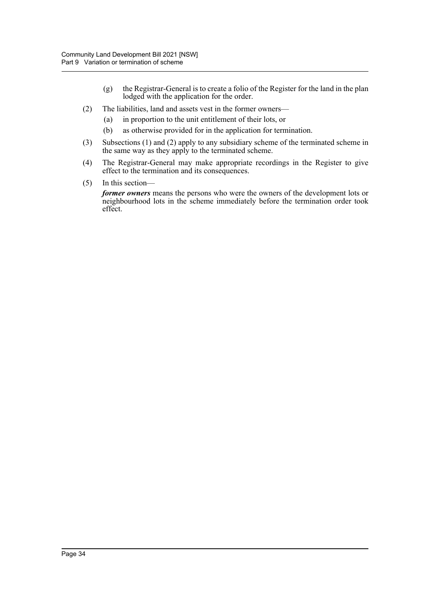- (g) the Registrar-General is to create a folio of the Register for the land in the plan lodged with the application for the order.
- (2) The liabilities, land and assets vest in the former owners—
	- (a) in proportion to the unit entitlement of their lots, or
	- (b) as otherwise provided for in the application for termination.
- (3) Subsections (1) and (2) apply to any subsidiary scheme of the terminated scheme in the same way as they apply to the terminated scheme.
- (4) The Registrar-General may make appropriate recordings in the Register to give effect to the termination and its consequences.
- (5) In this section—

*former owners* means the persons who were the owners of the development lots or neighbourhood lots in the scheme immediately before the termination order took effect.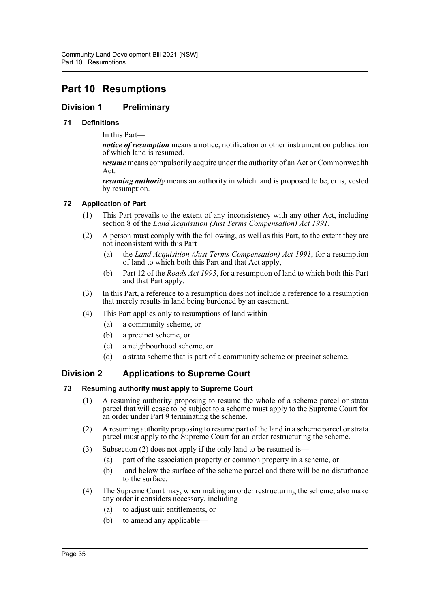# **Part 10 Resumptions**

## **Division 1 Preliminary**

## **71 Definitions**

In this Part—

*notice of resumption* means a notice, notification or other instrument on publication of which land is resumed.

*resume* means compulsorily acquire under the authority of an Act or Commonwealth Act.

*resuming authority* means an authority in which land is proposed to be, or is, vested by resumption.

#### **72 Application of Part**

- (1) This Part prevails to the extent of any inconsistency with any other Act, including section 8 of the *Land Acquisition (Just Terms Compensation) Act 1991*.
- (2) A person must comply with the following, as well as this Part, to the extent they are not inconsistent with this Part—
	- (a) the *Land Acquisition (Just Terms Compensation) Act 1991*, for a resumption of land to which both this Part and that Act apply,
	- (b) Part 12 of the *Roads Act 1993*, for a resumption of land to which both this Part and that Part apply.
- (3) In this Part, a reference to a resumption does not include a reference to a resumption that merely results in land being burdened by an easement.
- (4) This Part applies only to resumptions of land within—
	- (a) a community scheme, or
	- (b) a precinct scheme, or
	- (c) a neighbourhood scheme, or
	- (d) a strata scheme that is part of a community scheme or precinct scheme.

## **Division 2 Applications to Supreme Court**

#### **73 Resuming authority must apply to Supreme Court**

- (1) A resuming authority proposing to resume the whole of a scheme parcel or strata parcel that will cease to be subject to a scheme must apply to the Supreme Court for an order under Part 9 terminating the scheme.
- (2) A resuming authority proposing to resume part of the land in a scheme parcel or strata parcel must apply to the Supreme Court for an order restructuring the scheme.
- (3) Subsection (2) does not apply if the only land to be resumed is—
	- (a) part of the association property or common property in a scheme, or
	- (b) land below the surface of the scheme parcel and there will be no disturbance to the surface.
- (4) The Supreme Court may, when making an order restructuring the scheme, also make any order it considers necessary, including—
	- (a) to adjust unit entitlements, or
	- (b) to amend any applicable—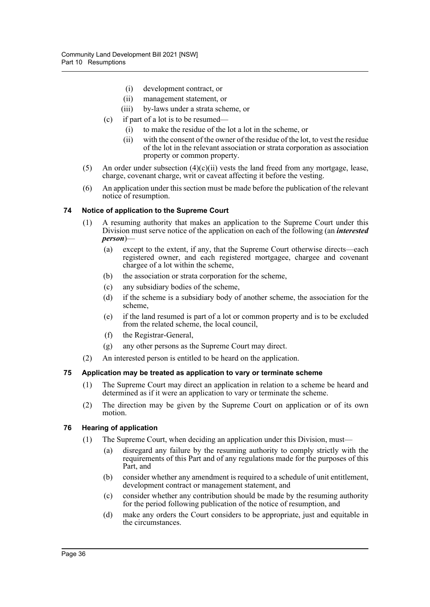- (i) development contract, or
- (ii) management statement, or
- (iii) by-laws under a strata scheme, or
- (c) if part of a lot is to be resumed—
	- (i) to make the residue of the lot a lot in the scheme, or
	- (ii) with the consent of the owner of the residue of the lot, to vest the residue of the lot in the relevant association or strata corporation as association property or common property.
- (5) An order under subsection  $(4)(c)(ii)$  vests the land freed from any mortgage, lease, charge, covenant charge, writ or caveat affecting it before the vesting.
- (6) An application under this section must be made before the publication of the relevant notice of resumption.

#### **74 Notice of application to the Supreme Court**

- (1) A resuming authority that makes an application to the Supreme Court under this Division must serve notice of the application on each of the following (an *interested person*)—
	- (a) except to the extent, if any, that the Supreme Court otherwise directs—each registered owner, and each registered mortgagee, chargee and covenant chargee of a lot within the scheme,
	- (b) the association or strata corporation for the scheme,
	- (c) any subsidiary bodies of the scheme,
	- (d) if the scheme is a subsidiary body of another scheme, the association for the scheme,
	- (e) if the land resumed is part of a lot or common property and is to be excluded from the related scheme, the local council,
	- (f) the Registrar-General,
	- (g) any other persons as the Supreme Court may direct.
- (2) An interested person is entitled to be heard on the application.

#### **75 Application may be treated as application to vary or terminate scheme**

- (1) The Supreme Court may direct an application in relation to a scheme be heard and determined as if it were an application to vary or terminate the scheme.
- (2) The direction may be given by the Supreme Court on application or of its own motion.

#### **76 Hearing of application**

- (1) The Supreme Court, when deciding an application under this Division, must—
	- (a) disregard any failure by the resuming authority to comply strictly with the requirements of this Part and of any regulations made for the purposes of this Part, and
	- (b) consider whether any amendment is required to a schedule of unit entitlement, development contract or management statement, and
	- (c) consider whether any contribution should be made by the resuming authority for the period following publication of the notice of resumption, and
	- (d) make any orders the Court considers to be appropriate, just and equitable in the circumstances.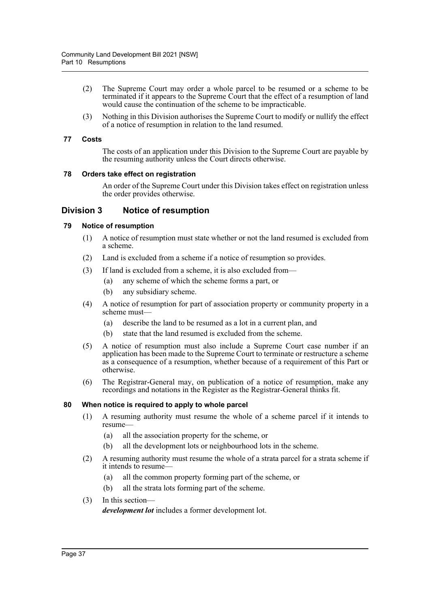- (2) The Supreme Court may order a whole parcel to be resumed or a scheme to be terminated if it appears to the Supreme Court that the effect of a resumption of land would cause the continuation of the scheme to be impracticable.
- (3) Nothing in this Division authorises the Supreme Court to modify or nullify the effect of a notice of resumption in relation to the land resumed.

#### **77 Costs**

The costs of an application under this Division to the Supreme Court are payable by the resuming authority unless the Court directs otherwise.

#### **78 Orders take effect on registration**

An order of the Supreme Court under this Division takes effect on registration unless the order provides otherwise.

## **Division 3 Notice of resumption**

#### **79 Notice of resumption**

- (1) A notice of resumption must state whether or not the land resumed is excluded from a scheme.
- (2) Land is excluded from a scheme if a notice of resumption so provides.
- (3) If land is excluded from a scheme, it is also excluded from—
	- (a) any scheme of which the scheme forms a part, or
	- (b) any subsidiary scheme.
- (4) A notice of resumption for part of association property or community property in a scheme must—
	- (a) describe the land to be resumed as a lot in a current plan, and
	- (b) state that the land resumed is excluded from the scheme.
- (5) A notice of resumption must also include a Supreme Court case number if an application has been made to the Supreme Court to terminate or restructure a scheme as a consequence of a resumption, whether because of a requirement of this Part or otherwise.
- (6) The Registrar-General may, on publication of a notice of resumption, make any recordings and notations in the Register as the Registrar-General thinks fit.

#### **80 When notice is required to apply to whole parcel**

- (1) A resuming authority must resume the whole of a scheme parcel if it intends to resume—
	- (a) all the association property for the scheme, or
	- (b) all the development lots or neighbourhood lots in the scheme.
- (2) A resuming authority must resume the whole of a strata parcel for a strata scheme if it intends to resume—
	- (a) all the common property forming part of the scheme, or
	- (b) all the strata lots forming part of the scheme.
- (3) In this section—

*development lot* includes a former development lot.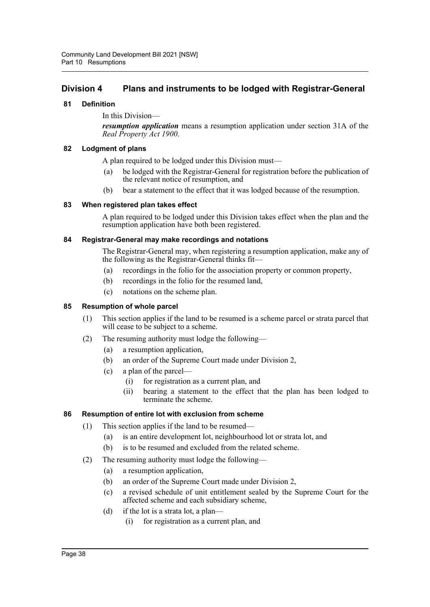## **Division 4 Plans and instruments to be lodged with Registrar-General**

#### **81 Definition**

In this Division—

*resumption application* means a resumption application under section 31A of the *Real Property Act 1900*.

### **82 Lodgment of plans**

A plan required to be lodged under this Division must—

- (a) be lodged with the Registrar-General for registration before the publication of the relevant notice of resumption, and
- (b) bear a statement to the effect that it was lodged because of the resumption.

#### **83 When registered plan takes effect**

A plan required to be lodged under this Division takes effect when the plan and the resumption application have both been registered.

#### **84 Registrar-General may make recordings and notations**

The Registrar-General may, when registering a resumption application, make any of the following as the Registrar-General thinks fit—

- (a) recordings in the folio for the association property or common property,
- (b) recordings in the folio for the resumed land,
- (c) notations on the scheme plan.

#### **85 Resumption of whole parcel**

- (1) This section applies if the land to be resumed is a scheme parcel or strata parcel that will cease to be subject to a scheme.
- (2) The resuming authority must lodge the following—
	- (a) a resumption application,
	- (b) an order of the Supreme Court made under Division 2,
	- (c) a plan of the parcel—
		- (i) for registration as a current plan, and
		- (ii) bearing a statement to the effect that the plan has been lodged to terminate the scheme.

#### **86 Resumption of entire lot with exclusion from scheme**

- (1) This section applies if the land to be resumed—
	- (a) is an entire development lot, neighbourhood lot or strata lot, and
	- (b) is to be resumed and excluded from the related scheme.
- (2) The resuming authority must lodge the following—
	- (a) a resumption application,
	- (b) an order of the Supreme Court made under Division 2,
	- (c) a revised schedule of unit entitlement sealed by the Supreme Court for the affected scheme and each subsidiary scheme,
	- (d) if the lot is a strata lot, a plan—
		- (i) for registration as a current plan, and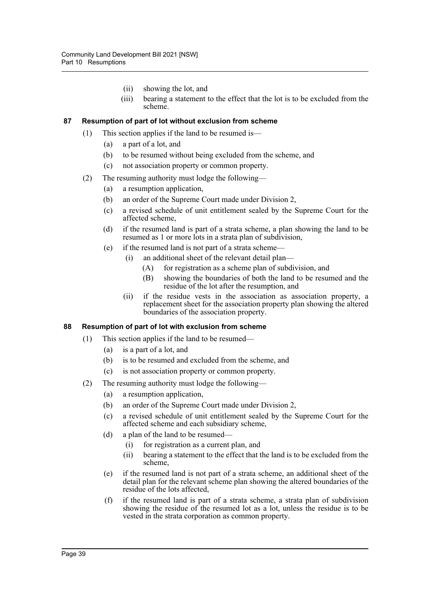- (ii) showing the lot, and
- (iii) bearing a statement to the effect that the lot is to be excluded from the scheme.

#### **87 Resumption of part of lot without exclusion from scheme**

- (1) This section applies if the land to be resumed is—
	- (a) a part of a lot, and
	- (b) to be resumed without being excluded from the scheme, and
	- (c) not association property or common property.
- (2) The resuming authority must lodge the following—
	- (a) a resumption application,
	- (b) an order of the Supreme Court made under Division 2,
	- (c) a revised schedule of unit entitlement sealed by the Supreme Court for the affected scheme,
	- (d) if the resumed land is part of a strata scheme, a plan showing the land to be resumed as 1 or more lots in a strata plan of subdivision,
	- (e) if the resumed land is not part of a strata scheme—
		- (i) an additional sheet of the relevant detail plan—
			- (A) for registration as a scheme plan of subdivision, and
			- (B) showing the boundaries of both the land to be resumed and the residue of the lot after the resumption, and
		- (ii) if the residue vests in the association as association property, a replacement sheet for the association property plan showing the altered boundaries of the association property.

#### **88 Resumption of part of lot with exclusion from scheme**

- (1) This section applies if the land to be resumed—
	- (a) is a part of a lot, and
	- (b) is to be resumed and excluded from the scheme, and
	- (c) is not association property or common property.
- (2) The resuming authority must lodge the following—
	- (a) a resumption application,
	- (b) an order of the Supreme Court made under Division 2,
	- (c) a revised schedule of unit entitlement sealed by the Supreme Court for the affected scheme and each subsidiary scheme,
	- (d) a plan of the land to be resumed—
		- (i) for registration as a current plan, and
		- (ii) bearing a statement to the effect that the land is to be excluded from the scheme,
	- (e) if the resumed land is not part of a strata scheme, an additional sheet of the detail plan for the relevant scheme plan showing the altered boundaries of the residue of the lots affected,
	- (f) if the resumed land is part of a strata scheme, a strata plan of subdivision showing the residue of the resumed lot as a lot, unless the residue is to be vested in the strata corporation as common property.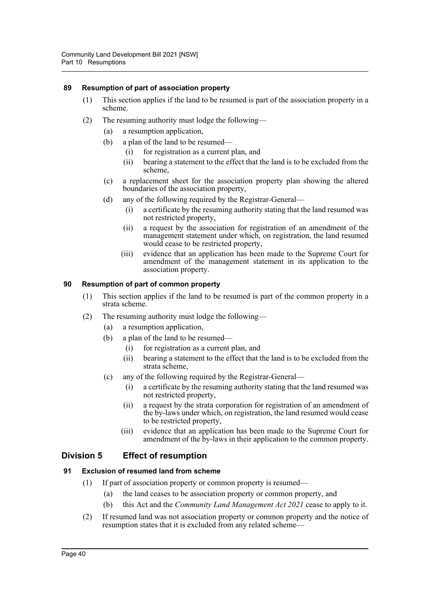#### **89 Resumption of part of association property**

- (1) This section applies if the land to be resumed is part of the association property in a scheme.
- (2) The resuming authority must lodge the following—
	- (a) a resumption application,
	- (b) a plan of the land to be resumed—
		- (i) for registration as a current plan, and
		- (ii) bearing a statement to the effect that the land is to be excluded from the scheme,
	- (c) a replacement sheet for the association property plan showing the altered boundaries of the association property,
	- (d) any of the following required by the Registrar-General—
		- (i) a certificate by the resuming authority stating that the land resumed was not restricted property,
		- (ii) a request by the association for registration of an amendment of the management statement under which, on registration, the land resumed would cease to be restricted property,
		- (iii) evidence that an application has been made to the Supreme Court for amendment of the management statement in its application to the association property.

#### **90 Resumption of part of common property**

- (1) This section applies if the land to be resumed is part of the common property in a strata scheme.
- (2) The resuming authority must lodge the following—
	- (a) a resumption application,
	- (b) a plan of the land to be resumed—
		- (i) for registration as a current plan, and
		- (ii) bearing a statement to the effect that the land is to be excluded from the strata scheme,
	- (c) any of the following required by the Registrar-General—
		- (i) a certificate by the resuming authority stating that the land resumed was not restricted property,
		- (ii) a request by the strata corporation for registration of an amendment of the by-laws under which, on registration, the land resumed would cease to be restricted property,
		- (iii) evidence that an application has been made to the Supreme Court for amendment of the by-laws in their application to the common property.

## **Division 5 Effect of resumption**

#### **91 Exclusion of resumed land from scheme**

- (1) If part of association property or common property is resumed—
	- (a) the land ceases to be association property or common property, and
	- (b) this Act and the *Community Land Management Act 2021* cease to apply to it.
- (2) If resumed land was not association property or common property and the notice of resumption states that it is excluded from any related scheme—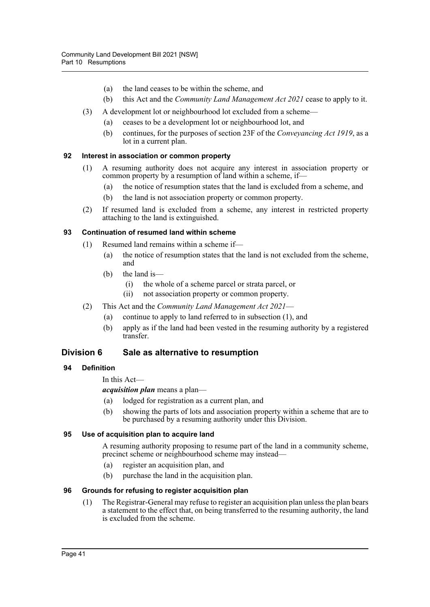- (a) the land ceases to be within the scheme, and
- (b) this Act and the *Community Land Management Act 2021* cease to apply to it.
- (3) A development lot or neighbourhood lot excluded from a scheme—
	- (a) ceases to be a development lot or neighbourhood lot, and
	- (b) continues, for the purposes of section 23F of the *Conveyancing Act 1919*, as a lot in a current plan.

#### **92 Interest in association or common property**

- (1) A resuming authority does not acquire any interest in association property or common property by a resumption of land within a scheme, if—
	- (a) the notice of resumption states that the land is excluded from a scheme, and
	- (b) the land is not association property or common property.
- (2) If resumed land is excluded from a scheme, any interest in restricted property attaching to the land is extinguished.

#### **93 Continuation of resumed land within scheme**

- (1) Resumed land remains within a scheme if—
	- (a) the notice of resumption states that the land is not excluded from the scheme, and
	- (b) the land is—
		- (i) the whole of a scheme parcel or strata parcel, or
		- (ii) not association property or common property.
- (2) This Act and the *Community Land Management Act 2021*
	- (a) continue to apply to land referred to in subsection (1), and
	- (b) apply as if the land had been vested in the resuming authority by a registered transfer.

## **Division 6 Sale as alternative to resumption**

## **94 Definition**

In this Act—

*acquisition plan* means a plan—

- (a) lodged for registration as a current plan, and
- (b) showing the parts of lots and association property within a scheme that are to be purchased by a resuming authority under this Division.

#### **95 Use of acquisition plan to acquire land**

A resuming authority proposing to resume part of the land in a community scheme, precinct scheme or neighbourhood scheme may instead—

- (a) register an acquisition plan, and
- (b) purchase the land in the acquisition plan.

#### **96 Grounds for refusing to register acquisition plan**

(1) The Registrar-General may refuse to register an acquisition plan unless the plan bears a statement to the effect that, on being transferred to the resuming authority, the land is excluded from the scheme.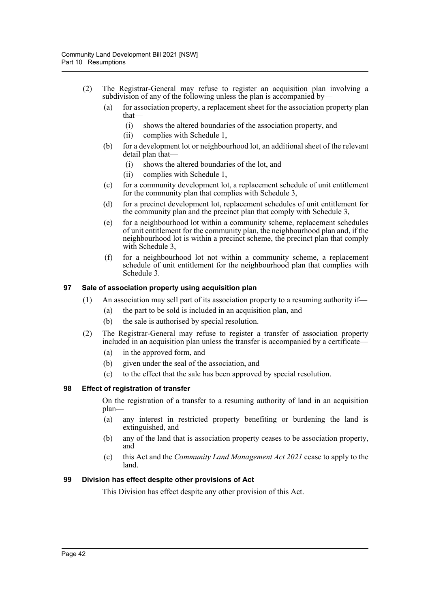- (2) The Registrar-General may refuse to register an acquisition plan involving a subdivision of any of the following unless the plan is accompanied by—
	- (a) for association property, a replacement sheet for the association property plan that—
		- (i) shows the altered boundaries of the association property, and
		- (ii) complies with Schedule 1,
	- (b) for a development lot or neighbourhood lot, an additional sheet of the relevant detail plan that—
		- (i) shows the altered boundaries of the lot, and
		- (ii) complies with Schedule 1,
	- (c) for a community development lot, a replacement schedule of unit entitlement for the community plan that complies with Schedule 3,
	- (d) for a precinct development lot, replacement schedules of unit entitlement for the community plan and the precinct plan that comply with Schedule 3,
	- (e) for a neighbourhood lot within a community scheme, replacement schedules of unit entitlement for the community plan, the neighbourhood plan and, if the neighbourhood lot is within a precinct scheme, the precinct plan that comply with Schedule 3,
	- (f) for a neighbourhood lot not within a community scheme, a replacement schedule of unit entitlement for the neighbourhood plan that complies with Schedule 3.

#### **97 Sale of association property using acquisition plan**

- $(1)$  An association may sell part of its association property to a resuming authority if—
	- (a) the part to be sold is included in an acquisition plan, and
	- (b) the sale is authorised by special resolution.
- (2) The Registrar-General may refuse to register a transfer of association property included in an acquisition plan unless the transfer is accompanied by a certificate—
	- (a) in the approved form, and
	- (b) given under the seal of the association, and
	- (c) to the effect that the sale has been approved by special resolution.

#### **98 Effect of registration of transfer**

On the registration of a transfer to a resuming authority of land in an acquisition plan—

- (a) any interest in restricted property benefiting or burdening the land is extinguished, and
- (b) any of the land that is association property ceases to be association property, and
- (c) this Act and the *Community Land Management Act 2021* cease to apply to the land.

#### **99 Division has effect despite other provisions of Act**

This Division has effect despite any other provision of this Act.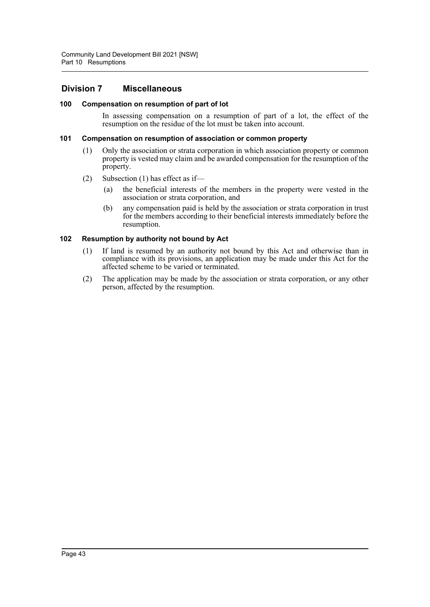## **Division 7 Miscellaneous**

#### **100 Compensation on resumption of part of lot**

In assessing compensation on a resumption of part of a lot, the effect of the resumption on the residue of the lot must be taken into account.

#### **101 Compensation on resumption of association or common property**

- (1) Only the association or strata corporation in which association property or common property is vested may claim and be awarded compensation for the resumption of the property.
- (2) Subsection (1) has effect as if—
	- (a) the beneficial interests of the members in the property were vested in the association or strata corporation, and
	- (b) any compensation paid is held by the association or strata corporation in trust for the members according to their beneficial interests immediately before the resumption.

#### **102 Resumption by authority not bound by Act**

- (1) If land is resumed by an authority not bound by this Act and otherwise than in compliance with its provisions, an application may be made under this Act for the affected scheme to be varied or terminated.
- (2) The application may be made by the association or strata corporation, or any other person, affected by the resumption.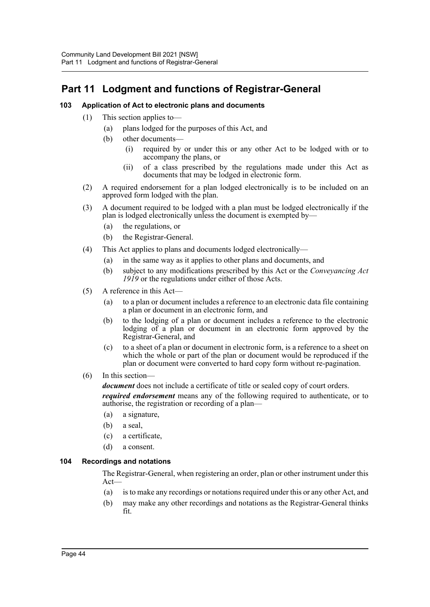# **Part 11 Lodgment and functions of Registrar-General**

## **103 Application of Act to electronic plans and documents**

- (1) This section applies to—
	- (a) plans lodged for the purposes of this Act, and
	- (b) other documents—
		- (i) required by or under this or any other Act to be lodged with or to accompany the plans, or
		- (ii) of a class prescribed by the regulations made under this Act as documents that may be lodged in electronic form.
- (2) A required endorsement for a plan lodged electronically is to be included on an approved form lodged with the plan.
- (3) A document required to be lodged with a plan must be lodged electronically if the plan is lodged electronically unless the document is exempted by—
	- (a) the regulations, or
	- (b) the Registrar-General.
- (4) This Act applies to plans and documents lodged electronically—
	- (a) in the same way as it applies to other plans and documents, and
	- (b) subject to any modifications prescribed by this Act or the *Conveyancing Act 1919* or the regulations under either of those Acts.
- (5) A reference in this Act—
	- (a) to a plan or document includes a reference to an electronic data file containing a plan or document in an electronic form, and
	- (b) to the lodging of a plan or document includes a reference to the electronic lodging of a plan or document in an electronic form approved by the Registrar-General, and
	- (c) to a sheet of a plan or document in electronic form, is a reference to a sheet on which the whole or part of the plan or document would be reproduced if the plan or document were converted to hard copy form without re-pagination.
- (6) In this section—

*document* does not include a certificate of title or sealed copy of court orders.

*required endorsement* means any of the following required to authenticate, or to authorise, the registration or recording of a plan—

- (a) a signature,
- (b) a seal,
- (c) a certificate,
- (d) a consent.

## **104 Recordings and notations**

The Registrar-General, when registering an order, plan or other instrument under this Act—

- (a) is to make any recordings or notations required under this or any other Act, and
- (b) may make any other recordings and notations as the Registrar-General thinks fit.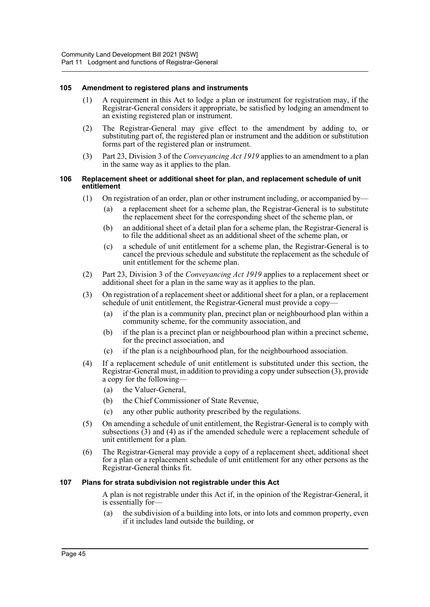#### **105 Amendment to registered plans and instruments**

- (1) A requirement in this Act to lodge a plan or instrument for registration may, if the Registrar-General considers it appropriate, be satisfied by lodging an amendment to an existing registered plan or instrument.
- (2) The Registrar-General may give effect to the amendment by adding to, or substituting part of, the registered plan or instrument and the addition or substitution forms part of the registered plan or instrument.
- (3) Part 23, Division 3 of the *Conveyancing Act 1919* applies to an amendment to a plan in the same way as it applies to the plan.

#### **106 Replacement sheet or additional sheet for plan, and replacement schedule of unit entitlement**

- (1) On registration of an order, plan or other instrument including, or accompanied by—
	- (a) a replacement sheet for a scheme plan, the Registrar-General is to substitute the replacement sheet for the corresponding sheet of the scheme plan, or
	- (b) an additional sheet of a detail plan for a scheme plan, the Registrar-General is to file the additional sheet as an additional sheet of the scheme plan, or
	- (c) a schedule of unit entitlement for a scheme plan, the Registrar-General is to cancel the previous schedule and substitute the replacement as the schedule of unit entitlement for the scheme plan.
- (2) Part 23, Division 3 of the *Conveyancing Act 1919* applies to a replacement sheet or additional sheet for a plan in the same way as it applies to the plan.
- (3) On registration of a replacement sheet or additional sheet for a plan, or a replacement schedule of unit entitlement, the Registrar-General must provide a copy—
	- (a) if the plan is a community plan, precinct plan or neighbourhood plan within a community scheme, for the community association, and
	- (b) if the plan is a precinct plan or neighbourhood plan within a precinct scheme, for the precinct association, and
	- (c) if the plan is a neighbourhood plan, for the neighbourhood association.
- (4) If a replacement schedule of unit entitlement is substituted under this section, the Registrar-General must, in addition to providing a copy under subsection (3), provide a copy for the following—
	- (a) the Valuer-General,
	- (b) the Chief Commissioner of State Revenue,
	- (c) any other public authority prescribed by the regulations.
- (5) On amending a schedule of unit entitlement, the Registrar-General is to comply with subsections  $(3)$  and  $(4)$  as if the amended schedule were a replacement schedule of unit entitlement for a plan.
- (6) The Registrar-General may provide a copy of a replacement sheet, additional sheet for a plan or a replacement schedule of unit entitlement for any other persons as the Registrar-General thinks fit.

#### **107 Plans for strata subdivision not registrable under this Act**

A plan is not registrable under this Act if, in the opinion of the Registrar-General, it is essentially for—

(a) the subdivision of a building into lots, or into lots and common property, even if it includes land outside the building, or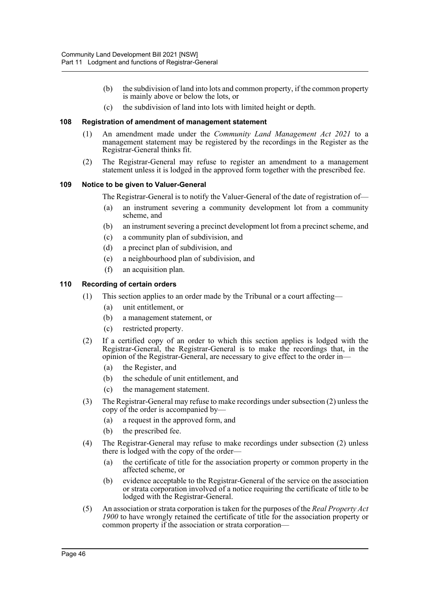- (b) the subdivision of land into lots and common property, if the common property is mainly above or below the lots, or
- (c) the subdivision of land into lots with limited height or depth.

#### **108 Registration of amendment of management statement**

- (1) An amendment made under the *Community Land Management Act 2021* to a management statement may be registered by the recordings in the Register as the Registrar-General thinks fit.
- (2) The Registrar-General may refuse to register an amendment to a management statement unless it is lodged in the approved form together with the prescribed fee.

#### **109 Notice to be given to Valuer-General**

The Registrar-General is to notify the Valuer-General of the date of registration of—

- (a) an instrument severing a community development lot from a community scheme, and
- (b) an instrument severing a precinct development lot from a precinct scheme, and
- (c) a community plan of subdivision, and
- (d) a precinct plan of subdivision, and
- (e) a neighbourhood plan of subdivision, and
- (f) an acquisition plan.

#### **110 Recording of certain orders**

- (1) This section applies to an order made by the Tribunal or a court affecting—
	- (a) unit entitlement, or
	- (b) a management statement, or
	- (c) restricted property.
- (2) If a certified copy of an order to which this section applies is lodged with the Registrar-General, the Registrar-General is to make the recordings that, in the opinion of the Registrar-General, are necessary to give effect to the order in—
	- (a) the Register, and
	- (b) the schedule of unit entitlement, and
	- (c) the management statement.
- (3) The Registrar-General may refuse to make recordings under subsection (2) unless the copy of the order is accompanied by—
	- (a) a request in the approved form, and
	- (b) the prescribed fee.
- (4) The Registrar-General may refuse to make recordings under subsection (2) unless there is lodged with the copy of the order—
	- (a) the certificate of title for the association property or common property in the affected scheme, or
	- (b) evidence acceptable to the Registrar-General of the service on the association or strata corporation involved of a notice requiring the certificate of title to be lodged with the Registrar-General.
- (5) An association or strata corporation is taken for the purposes of the *Real Property Act 1900* to have wrongly retained the certificate of title for the association property or common property if the association or strata corporation—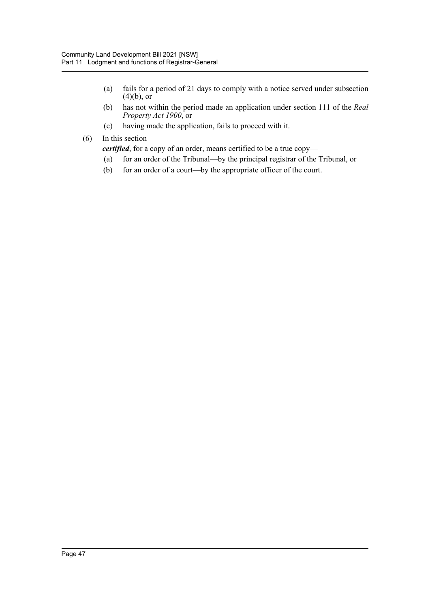- (a) fails for a period of 21 days to comply with a notice served under subsection  $(4)(b)$ , or
- (b) has not within the period made an application under section 111 of the *Real Property Act 1900*, or
- (c) having made the application, fails to proceed with it.
- (6) In this section—

*certified*, for a copy of an order, means certified to be a true copy—

- (a) for an order of the Tribunal—by the principal registrar of the Tribunal, or
- (b) for an order of a court—by the appropriate officer of the court.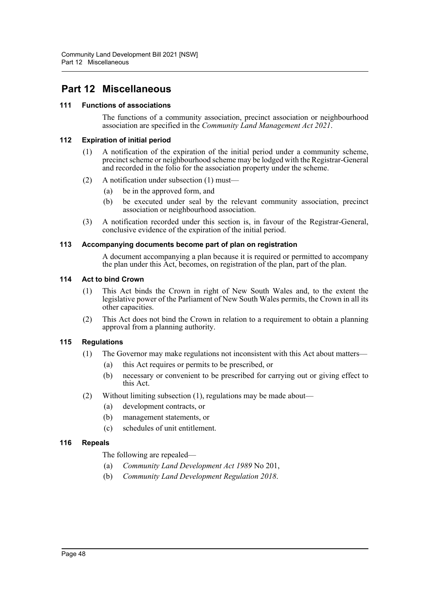# **Part 12 Miscellaneous**

#### **111 Functions of associations**

The functions of a community association, precinct association or neighbourhood association are specified in the *Community Land Management Act 2021*.

#### **112 Expiration of initial period**

- (1) A notification of the expiration of the initial period under a community scheme, precinct scheme or neighbourhood scheme may be lodged with the Registrar-General and recorded in the folio for the association property under the scheme.
- (2) A notification under subsection (1) must—
	- (a) be in the approved form, and
	- (b) be executed under seal by the relevant community association, precinct association or neighbourhood association.
- (3) A notification recorded under this section is, in favour of the Registrar-General, conclusive evidence of the expiration of the initial period.

#### **113 Accompanying documents become part of plan on registration**

A document accompanying a plan because it is required or permitted to accompany the plan under this Act, becomes, on registration of the plan, part of the plan.

#### **114 Act to bind Crown**

- (1) This Act binds the Crown in right of New South Wales and, to the extent the legislative power of the Parliament of New South Wales permits, the Crown in all its other capacities.
- (2) This Act does not bind the Crown in relation to a requirement to obtain a planning approval from a planning authority.

## **115 Regulations**

- (1) The Governor may make regulations not inconsistent with this Act about matters—
	- (a) this Act requires or permits to be prescribed, or
	- (b) necessary or convenient to be prescribed for carrying out or giving effect to this Act.
- (2) Without limiting subsection (1), regulations may be made about—
	- (a) development contracts, or
	- (b) management statements, or
	- (c) schedules of unit entitlement.

## **116 Repeals**

The following are repealed—

- (a) *Community Land Development Act 1989* No 201,
- (b) *Community Land Development Regulation 2018*.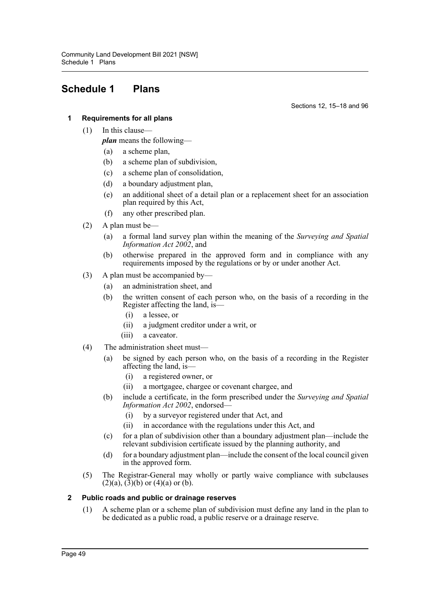# **Schedule 1 Plans**

Sections 12, 15–18 and 96

### **1 Requirements for all plans**

(1) In this clause—

*plan* means the following—

- (a) a scheme plan,
- (b) a scheme plan of subdivision,
- (c) a scheme plan of consolidation,
- (d) a boundary adjustment plan,
- (e) an additional sheet of a detail plan or a replacement sheet for an association plan required by this Act,
- (f) any other prescribed plan.
- (2) A plan must be—
	- (a) a formal land survey plan within the meaning of the *Surveying and Spatial Information Act 2002*, and
	- (b) otherwise prepared in the approved form and in compliance with any requirements imposed by the regulations or by or under another Act.
- (3) A plan must be accompanied by—
	- (a) an administration sheet, and
	- (b) the written consent of each person who, on the basis of a recording in the Register affecting the land, is—
		- (i) a lessee, or
		- (ii) a judgment creditor under a writ, or
		- (iii) a caveator.
- (4) The administration sheet must—
	- (a) be signed by each person who, on the basis of a recording in the Register affecting the land, is—
		- (i) a registered owner, or
		- (ii) a mortgagee, chargee or covenant chargee, and
	- (b) include a certificate, in the form prescribed under the *Surveying and Spatial Information Act 2002*, endorsed—
		- (i) by a surveyor registered under that Act, and
		- (ii) in accordance with the regulations under this Act, and
	- (c) for a plan of subdivision other than a boundary adjustment plan—include the relevant subdivision certificate issued by the planning authority, and
	- (d) for a boundary adjustment plan—include the consent of the local council given in the approved form.
- (5) The Registrar-General may wholly or partly waive compliance with subclauses  $(2)(a)$ ,  $(3)(b)$  or  $(4)(a)$  or  $(b)$ .

#### **2 Public roads and public or drainage reserves**

(1) A scheme plan or a scheme plan of subdivision must define any land in the plan to be dedicated as a public road, a public reserve or a drainage reserve.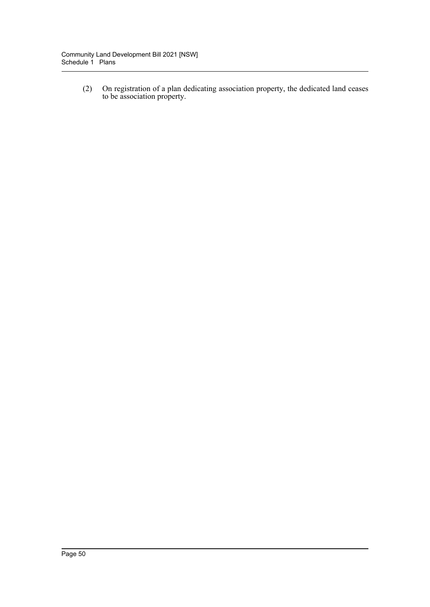(2) On registration of a plan dedicating association property, the dedicated land ceases to be association property.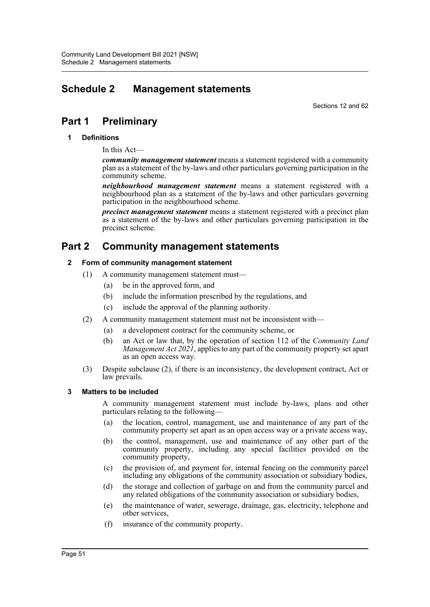# **Schedule 2 Management statements**

Sections 12 and 62

# **Part 1 Preliminary**

#### **1 Definitions**

In this Act—

*community management statement* means a statement registered with a community plan as a statement of the by-laws and other particulars governing participation in the community scheme.

*neighbourhood management statement* means a statement registered with a neighbourhood plan as a statement of the by-laws and other particulars governing participation in the neighbourhood scheme.

*precinct management statement* means a statement registered with a precinct plan as a statement of the by-laws and other particulars governing participation in the precinct scheme.

# **Part 2 Community management statements**

#### **2 Form of community management statement**

- (1) A community management statement must—
	- (a) be in the approved form, and
	- (b) include the information prescribed by the regulations, and
	- (c) include the approval of the planning authority.
- (2) A community management statement must not be inconsistent with—
	- (a) a development contract for the community scheme, or
	- (b) an Act or law that, by the operation of section 112 of the *Community Land Management Act 2021*, applies to any part of the community property set apart as an open access way.
- (3) Despite subclause (2), if there is an inconsistency, the development contract, Act or law prevails.

#### **3 Matters to be included**

A community management statement must include by-laws, plans and other particulars relating to the following—

- (a) the location, control, management, use and maintenance of any part of the community property set apart as an open access way or a private access way,
- (b) the control, management, use and maintenance of any other part of the community property, including any special facilities provided on the community property,
- (c) the provision of, and payment for, internal fencing on the community parcel including any obligations of the community association or subsidiary bodies,
- (d) the storage and collection of garbage on and from the community parcel and any related obligations of the community association or subsidiary bodies,
- (e) the maintenance of water, sewerage, drainage, gas, electricity, telephone and other services,
- (f) insurance of the community property.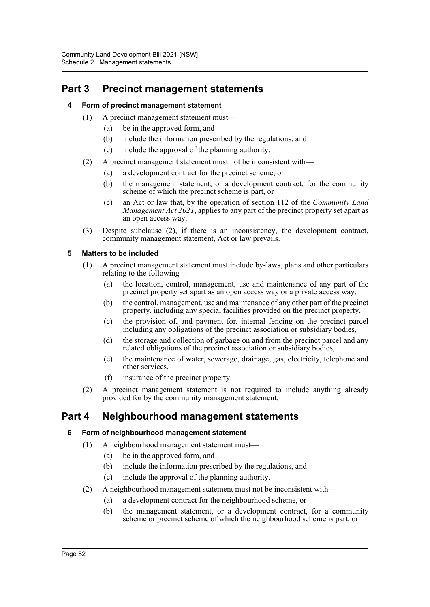# **Part 3 Precinct management statements**

## **4 Form of precinct management statement**

- (1) A precinct management statement must—
	- (a) be in the approved form, and
	- (b) include the information prescribed by the regulations, and
	- (c) include the approval of the planning authority.
- (2) A precinct management statement must not be inconsistent with—
	- (a) a development contract for the precinct scheme, or
	- (b) the management statement, or a development contract, for the community scheme of which the precinct scheme is part, or
	- (c) an Act or law that, by the operation of section 112 of the *Community Land Management Act 2021*, applies to any part of the precinct property set apart as an open access way.
- (3) Despite subclause (2), if there is an inconsistency, the development contract, community management statement, Act or law prevails.

## **5 Matters to be included**

- (1) A precinct management statement must include by-laws, plans and other particulars relating to the following—
	- (a) the location, control, management, use and maintenance of any part of the precinct property set apart as an open access way or a private access way,
	- (b) the control, management, use and maintenance of any other part of the precinct property, including any special facilities provided on the precinct property,
	- (c) the provision of, and payment for, internal fencing on the precinct parcel including any obligations of the precinct association or subsidiary bodies,
	- (d) the storage and collection of garbage on and from the precinct parcel and any related obligations of the precinct association or subsidiary bodies,
	- (e) the maintenance of water, sewerage, drainage, gas, electricity, telephone and other services,
	- (f) insurance of the precinct property.
- (2) A precinct management statement is not required to include anything already provided for by the community management statement.

## **Part 4 Neighbourhood management statements**

## **6 Form of neighbourhood management statement**

- (1) A neighbourhood management statement must—
	- (a) be in the approved form, and
	- (b) include the information prescribed by the regulations, and
	- (c) include the approval of the planning authority.
- (2) A neighbourhood management statement must not be inconsistent with—
	- (a) a development contract for the neighbourhood scheme, or
	- (b) the management statement, or a development contract, for a community scheme or precinct scheme of which the neighbourhood scheme is part, or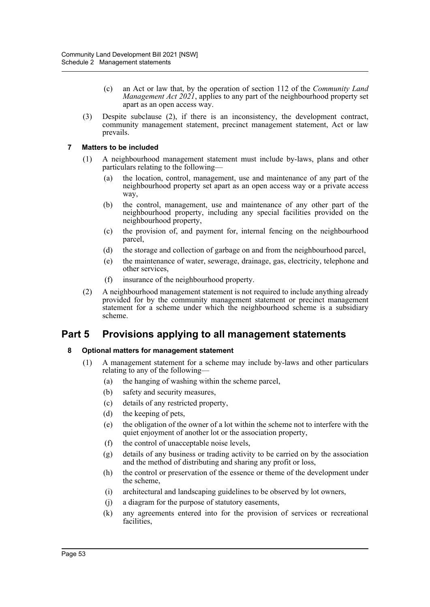- (c) an Act or law that, by the operation of section 112 of the *Community Land Management Act 2021*, applies to any part of the neighbourhood property set apart as an open access way.
- (3) Despite subclause (2), if there is an inconsistency, the development contract, community management statement, precinct management statement, Act or law prevails.

### **7 Matters to be included**

- (1) A neighbourhood management statement must include by-laws, plans and other particulars relating to the following—
	- (a) the location, control, management, use and maintenance of any part of the neighbourhood property set apart as an open access way or a private access way,
	- (b) the control, management, use and maintenance of any other part of the neighbourhood property, including any special facilities provided on the neighbourhood property,
	- (c) the provision of, and payment for, internal fencing on the neighbourhood parcel,
	- (d) the storage and collection of garbage on and from the neighbourhood parcel,
	- (e) the maintenance of water, sewerage, drainage, gas, electricity, telephone and other services,
	- (f) insurance of the neighbourhood property.
- (2) A neighbourhood management statement is not required to include anything already provided for by the community management statement or precinct management statement for a scheme under which the neighbourhood scheme is a subsidiary scheme.

## **Part 5 Provisions applying to all management statements**

## **8 Optional matters for management statement**

- (1) A management statement for a scheme may include by-laws and other particulars relating to any of the following—
	- (a) the hanging of washing within the scheme parcel,
	- (b) safety and security measures,
	- (c) details of any restricted property,
	- (d) the keeping of pets,
	- (e) the obligation of the owner of a lot within the scheme not to interfere with the quiet enjoyment of another lot or the association property,
	- (f) the control of unacceptable noise levels,
	- (g) details of any business or trading activity to be carried on by the association and the method of distributing and sharing any profit or loss,
	- (h) the control or preservation of the essence or theme of the development under the scheme,
	- (i) architectural and landscaping guidelines to be observed by lot owners,
	- (j) a diagram for the purpose of statutory easements,
	- (k) any agreements entered into for the provision of services or recreational facilities,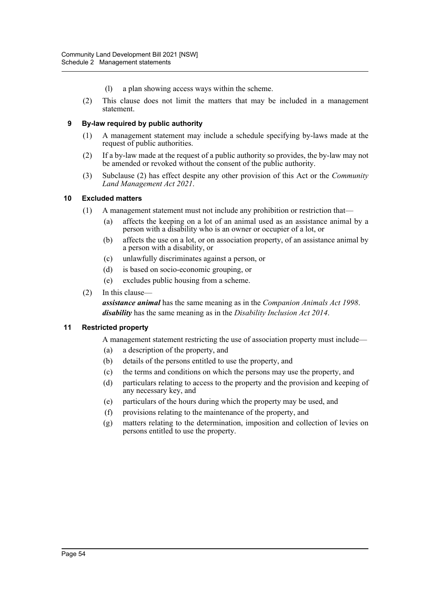- (l) a plan showing access ways within the scheme.
- (2) This clause does not limit the matters that may be included in a management statement.

#### **9 By-law required by public authority**

- (1) A management statement may include a schedule specifying by-laws made at the request of public authorities.
- (2) If a by-law made at the request of a public authority so provides, the by-law may not be amended or revoked without the consent of the public authority.
- (3) Subclause (2) has effect despite any other provision of this Act or the *Community Land Management Act 2021*.

#### **10 Excluded matters**

- (1) A management statement must not include any prohibition or restriction that—
	- (a) affects the keeping on a lot of an animal used as an assistance animal by a person with a disability who is an owner or occupier of a lot, or
	- (b) affects the use on a lot, or on association property, of an assistance animal by a person with a disability, or
	- (c) unlawfully discriminates against a person, or
	- (d) is based on socio-economic grouping, or
	- (e) excludes public housing from a scheme.
- (2) In this clause—

*assistance animal* has the same meaning as in the *Companion Animals Act 1998*. *disability* has the same meaning as in the *Disability Inclusion Act 2014*.

#### **11 Restricted property**

A management statement restricting the use of association property must include—

- (a) a description of the property, and
- (b) details of the persons entitled to use the property, and
- (c) the terms and conditions on which the persons may use the property, and
- (d) particulars relating to access to the property and the provision and keeping of any necessary key, and
- (e) particulars of the hours during which the property may be used, and
- (f) provisions relating to the maintenance of the property, and
- (g) matters relating to the determination, imposition and collection of levies on persons entitled to use the property.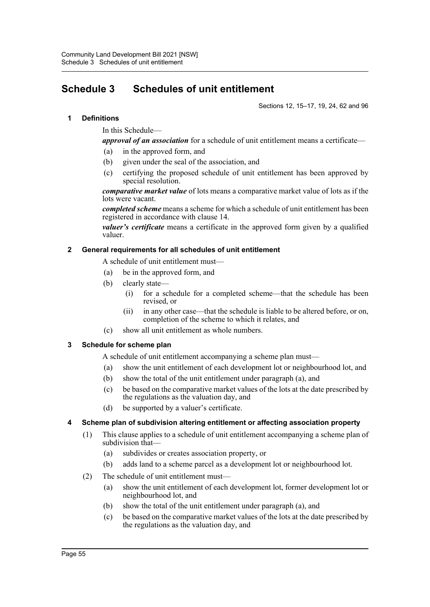# **Schedule 3 Schedules of unit entitlement**

Sections 12, 15–17, 19, 24, 62 and 96

#### **1 Definitions**

In this Schedule—

*approval of an association* for a schedule of unit entitlement means a certificate—

- (a) in the approved form, and
- (b) given under the seal of the association, and
- (c) certifying the proposed schedule of unit entitlement has been approved by special resolution.

*comparative market value* of lots means a comparative market value of lots as if the lots were vacant.

*completed scheme* means a scheme for which a schedule of unit entitlement has been registered in accordance with clause 14.

*valuer's certificate* means a certificate in the approved form given by a qualified valuer.

#### **2 General requirements for all schedules of unit entitlement**

- A schedule of unit entitlement must—
- (a) be in the approved form, and
- (b) clearly state—
	- (i) for a schedule for a completed scheme—that the schedule has been revised, or
	- (ii) in any other case—that the schedule is liable to be altered before, or on, completion of the scheme to which it relates, and
- (c) show all unit entitlement as whole numbers.

#### **3 Schedule for scheme plan**

A schedule of unit entitlement accompanying a scheme plan must—

- (a) show the unit entitlement of each development lot or neighbourhood lot, and
- (b) show the total of the unit entitlement under paragraph (a), and
- (c) be based on the comparative market values of the lots at the date prescribed by the regulations as the valuation day, and
- (d) be supported by a valuer's certificate.

## **4 Scheme plan of subdivision altering entitlement or affecting association property**

- (1) This clause applies to a schedule of unit entitlement accompanying a scheme plan of subdivision that—
	- (a) subdivides or creates association property, or
	- (b) adds land to a scheme parcel as a development lot or neighbourhood lot.
- (2) The schedule of unit entitlement must—
	- (a) show the unit entitlement of each development lot, former development lot or neighbourhood lot, and
	- (b) show the total of the unit entitlement under paragraph (a), and
	- (c) be based on the comparative market values of the lots at the date prescribed by the regulations as the valuation day, and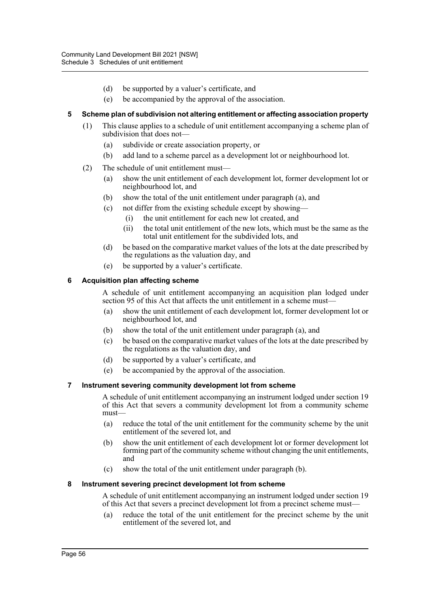- (d) be supported by a valuer's certificate, and
- (e) be accompanied by the approval of the association.

#### **5 Scheme plan of subdivision not altering entitlement or affecting association property**

- (1) This clause applies to a schedule of unit entitlement accompanying a scheme plan of subdivision that does not—
	- (a) subdivide or create association property, or
	- (b) add land to a scheme parcel as a development lot or neighbourhood lot.
- (2) The schedule of unit entitlement must—
	- (a) show the unit entitlement of each development lot, former development lot or neighbourhood lot, and
	- (b) show the total of the unit entitlement under paragraph (a), and
	- (c) not differ from the existing schedule except by showing—
		- (i) the unit entitlement for each new lot created, and
		- (ii) the total unit entitlement of the new lots, which must be the same as the total unit entitlement for the subdivided lots, and
	- (d) be based on the comparative market values of the lots at the date prescribed by the regulations as the valuation day, and
	- (e) be supported by a valuer's certificate.

#### **6 Acquisition plan affecting scheme**

A schedule of unit entitlement accompanying an acquisition plan lodged under section 95 of this Act that affects the unit entitlement in a scheme must—

- (a) show the unit entitlement of each development lot, former development lot or neighbourhood lot, and
- (b) show the total of the unit entitlement under paragraph (a), and
- (c) be based on the comparative market values of the lots at the date prescribed by the regulations as the valuation day, and
- (d) be supported by a valuer's certificate, and
- (e) be accompanied by the approval of the association.

#### **7 Instrument severing community development lot from scheme**

A schedule of unit entitlement accompanying an instrument lodged under section 19 of this Act that severs a community development lot from a community scheme must—

- (a) reduce the total of the unit entitlement for the community scheme by the unit entitlement of the severed lot, and
- (b) show the unit entitlement of each development lot or former development lot forming part of the community scheme without changing the unit entitlements, and
- (c) show the total of the unit entitlement under paragraph (b).

#### **8 Instrument severing precinct development lot from scheme**

A schedule of unit entitlement accompanying an instrument lodged under section 19 of this Act that severs a precinct development lot from a precinct scheme must—

(a) reduce the total of the unit entitlement for the precinct scheme by the unit entitlement of the severed lot, and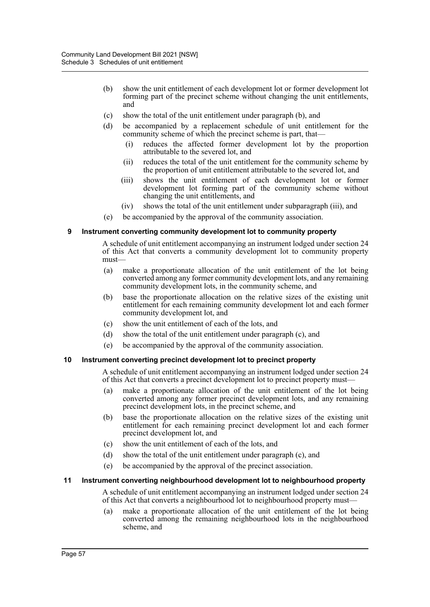- (b) show the unit entitlement of each development lot or former development lot forming part of the precinct scheme without changing the unit entitlements, and
- (c) show the total of the unit entitlement under paragraph (b), and
- (d) be accompanied by a replacement schedule of unit entitlement for the community scheme of which the precinct scheme is part, that—
	- (i) reduces the affected former development lot by the proportion attributable to the severed lot, and
	- (ii) reduces the total of the unit entitlement for the community scheme by the proportion of unit entitlement attributable to the severed lot, and
	- (iii) shows the unit entitlement of each development lot or former development lot forming part of the community scheme without changing the unit entitlements, and
	- (iv) shows the total of the unit entitlement under subparagraph (iii), and
- (e) be accompanied by the approval of the community association.

#### **9 Instrument converting community development lot to community property**

A schedule of unit entitlement accompanying an instrument lodged under section 24 of this Act that converts a community development lot to community property must—

- (a) make a proportionate allocation of the unit entitlement of the lot being converted among any former community development lots, and any remaining community development lots, in the community scheme, and
- (b) base the proportionate allocation on the relative sizes of the existing unit entitlement for each remaining community development lot and each former community development lot, and
- (c) show the unit entitlement of each of the lots, and
- (d) show the total of the unit entitlement under paragraph (c), and
- (e) be accompanied by the approval of the community association.

#### **10 Instrument converting precinct development lot to precinct property**

A schedule of unit entitlement accompanying an instrument lodged under section 24 of this Act that converts a precinct development lot to precinct property must—

- (a) make a proportionate allocation of the unit entitlement of the lot being converted among any former precinct development lots, and any remaining precinct development lots, in the precinct scheme, and
- (b) base the proportionate allocation on the relative sizes of the existing unit entitlement for each remaining precinct development lot and each former precinct development lot, and
- (c) show the unit entitlement of each of the lots, and
- (d) show the total of the unit entitlement under paragraph (c), and
- (e) be accompanied by the approval of the precinct association.

#### **11 Instrument converting neighbourhood development lot to neighbourhood property**

A schedule of unit entitlement accompanying an instrument lodged under section 24 of this Act that converts a neighbourhood lot to neighbourhood property must—

(a) make a proportionate allocation of the unit entitlement of the lot being converted among the remaining neighbourhood lots in the neighbourhood scheme, and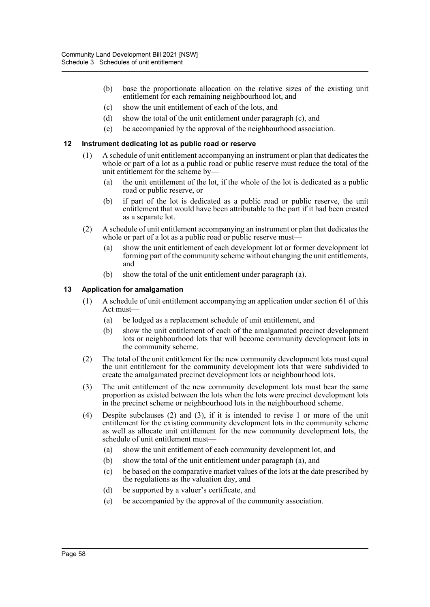- (b) base the proportionate allocation on the relative sizes of the existing unit entitlement for each remaining neighbourhood lot, and
- (c) show the unit entitlement of each of the lots, and
- (d) show the total of the unit entitlement under paragraph (c), and
- (e) be accompanied by the approval of the neighbourhood association.

#### **12 Instrument dedicating lot as public road or reserve**

- (1) A schedule of unit entitlement accompanying an instrument or plan that dedicates the whole or part of a lot as a public road or public reserve must reduce the total of the unit entitlement for the scheme by—
	- (a) the unit entitlement of the lot, if the whole of the lot is dedicated as a public road or public reserve, or
	- (b) if part of the lot is dedicated as a public road or public reserve, the unit entitlement that would have been attributable to the part if it had been created as a separate lot.
- (2) A schedule of unit entitlement accompanying an instrument or plan that dedicates the whole or part of a lot as a public road or public reserve must-
	- (a) show the unit entitlement of each development lot or former development lot forming part of the community scheme without changing the unit entitlements, and
	- (b) show the total of the unit entitlement under paragraph (a).

#### **13 Application for amalgamation**

- (1) A schedule of unit entitlement accompanying an application under section 61 of this Act must—
	- (a) be lodged as a replacement schedule of unit entitlement, and
	- (b) show the unit entitlement of each of the amalgamated precinct development lots or neighbourhood lots that will become community development lots in the community scheme.
- (2) The total of the unit entitlement for the new community development lots must equal the unit entitlement for the community development lots that were subdivided to create the amalgamated precinct development lots or neighbourhood lots.
- (3) The unit entitlement of the new community development lots must bear the same proportion as existed between the lots when the lots were precinct development lots in the precinct scheme or neighbourhood lots in the neighbourhood scheme.
- (4) Despite subclauses (2) and (3), if it is intended to revise 1 or more of the unit entitlement for the existing community development lots in the community scheme as well as allocate unit entitlement for the new community development lots, the schedule of unit entitlement must—
	- (a) show the unit entitlement of each community development lot, and
	- (b) show the total of the unit entitlement under paragraph (a), and
	- (c) be based on the comparative market values of the lots at the date prescribed by the regulations as the valuation day, and
	- (d) be supported by a valuer's certificate, and
	- (e) be accompanied by the approval of the community association.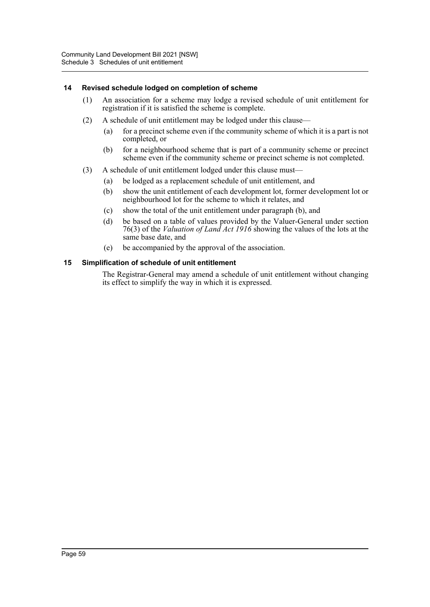#### **14 Revised schedule lodged on completion of scheme**

- (1) An association for a scheme may lodge a revised schedule of unit entitlement for registration if it is satisfied the scheme is complete.
- (2) A schedule of unit entitlement may be lodged under this clause—
	- (a) for a precinct scheme even if the community scheme of which it is a part is not completed, or
	- (b) for a neighbourhood scheme that is part of a community scheme or precinct scheme even if the community scheme or precinct scheme is not completed.
- (3) A schedule of unit entitlement lodged under this clause must—
	- (a) be lodged as a replacement schedule of unit entitlement, and
	- (b) show the unit entitlement of each development lot, former development lot or neighbourhood lot for the scheme to which it relates, and
	- (c) show the total of the unit entitlement under paragraph (b), and
	- (d) be based on a table of values provided by the Valuer-General under section 76(3) of the *Valuation of Land Act 1916* showing the values of the lots at the same base date, and
	- (e) be accompanied by the approval of the association.

#### **15 Simplification of schedule of unit entitlement**

The Registrar-General may amend a schedule of unit entitlement without changing its effect to simplify the way in which it is expressed.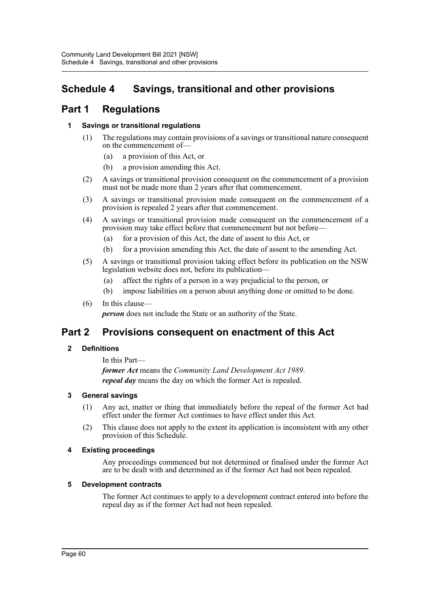# **Schedule 4 Savings, transitional and other provisions**

# **Part 1 Regulations**

## **1 Savings or transitional regulations**

- (1) The regulations may contain provisions of a savings or transitional nature consequent on the commencement of—
	- (a) a provision of this Act, or
	- (b) a provision amending this Act.
- (2) A savings or transitional provision consequent on the commencement of a provision must not be made more than 2 years after that commencement.
- (3) A savings or transitional provision made consequent on the commencement of a provision is repealed 2 years after that commencement.
- (4) A savings or transitional provision made consequent on the commencement of a provision may take effect before that commencement but not before—
	- (a) for a provision of this Act, the date of assent to this Act, or
	- (b) for a provision amending this Act, the date of assent to the amending Act.
- (5) A savings or transitional provision taking effect before its publication on the NSW legislation website does not, before its publication—
	- (a) affect the rights of a person in a way prejudicial to the person, or
	- (b) impose liabilities on a person about anything done or omitted to be done.
- (6) In this clause—

*person* does not include the State or an authority of the State.

## **Part 2 Provisions consequent on enactment of this Act**

## **2 Definitions**

In this Part *former Act* means the *Community Land Development Act 1989*. *repeal day* means the day on which the former Act is repealed.

## **3 General savings**

- (1) Any act, matter or thing that immediately before the repeal of the former Act had effect under the former Act continues to have effect under this Act.
- (2) This clause does not apply to the extent its application is inconsistent with any other provision of this Schedule.

## **4 Existing proceedings**

Any proceedings commenced but not determined or finalised under the former Act are to be dealt with and determined as if the former Act had not been repealed.

#### **5 Development contracts**

The former Act continues to apply to a development contract entered into before the repeal day as if the former Act had not been repealed.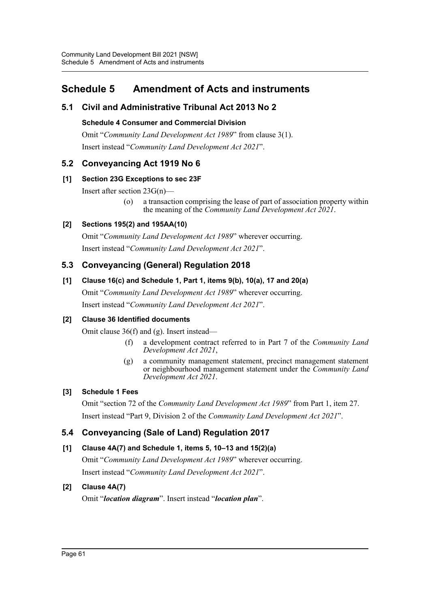# **Schedule 5 Amendment of Acts and instruments**

## **5.1 Civil and Administrative Tribunal Act 2013 No 2**

## **Schedule 4 Consumer and Commercial Division**

Omit "*Community Land Development Act 1989*" from clause 3(1). Insert instead "*Community Land Development Act 2021*".

## **5.2 Conveyancing Act 1919 No 6**

## **[1] Section 23G Exceptions to sec 23F**

Insert after section 23G(n)—

(o) a transaction comprising the lease of part of association property within the meaning of the *Community Land Development Act 2021*.

## **[2] Sections 195(2) and 195AA(10)**

Omit "*Community Land Development Act 1989*" wherever occurring. Insert instead "*Community Land Development Act 2021*".

## **5.3 Conveyancing (General) Regulation 2018**

## **[1] Clause 16(c) and Schedule 1, Part 1, items 9(b), 10(a), 17 and 20(a)**

Omit "*Community Land Development Act 1989*" wherever occurring. Insert instead "*Community Land Development Act 2021*".

## **[2] Clause 36 Identified documents**

Omit clause 36(f) and (g). Insert instead—

- (f) a development contract referred to in Part 7 of the *Community Land Development Act 2021*,
- (g) a community management statement, precinct management statement or neighbourhood management statement under the *Community Land Development Act 2021*.

## **[3] Schedule 1 Fees**

Omit "section 72 of the *Community Land Development Act 1989*" from Part 1, item 27. Insert instead "Part 9, Division 2 of the *Community Land Development Act 2021*".

## **5.4 Conveyancing (Sale of Land) Regulation 2017**

## **[1] Clause 4A(7) and Schedule 1, items 5, 10–13 and 15(2)(a)**

Omit "*Community Land Development Act 1989*" wherever occurring. Insert instead "*Community Land Development Act 2021*".

## **[2] Clause 4A(7)**

Omit "*location diagram*". Insert instead "*location plan*".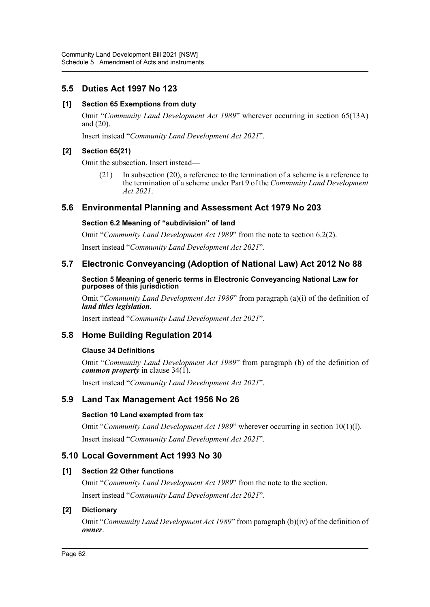## **5.5 Duties Act 1997 No 123**

### **[1] Section 65 Exemptions from duty**

Omit "*Community Land Development Act 1989*" wherever occurring in section 65(13A) and (20).

Insert instead "*Community Land Development Act 2021*".

### **[2] Section 65(21)**

Omit the subsection. Insert instead—

(21) In subsection (20), a reference to the termination of a scheme is a reference to the termination of a scheme under Part 9 of the *Community Land Development Act 2021*.

## **5.6 Environmental Planning and Assessment Act 1979 No 203**

#### **Section 6.2 Meaning of "subdivision" of land**

Omit "*Community Land Development Act 1989*" from the note to section 6.2(2).

Insert instead "*Community Land Development Act 2021*".

## **5.7 Electronic Conveyancing (Adoption of National Law) Act 2012 No 88**

#### **Section 5 Meaning of generic terms in Electronic Conveyancing National Law for purposes of this jurisdiction**

Omit "*Community Land Development Act 1989*" from paragraph (a)(i) of the definition of *land titles legislation*.

Insert instead "*Community Land Development Act 2021*".

## **5.8 Home Building Regulation 2014**

#### **Clause 34 Definitions**

Omit "*Community Land Development Act 1989*" from paragraph (b) of the definition of *common property* in clause 34(1).

Insert instead "*Community Land Development Act 2021*".

## **5.9 Land Tax Management Act 1956 No 26**

#### **Section 10 Land exempted from tax**

Omit "*Community Land Development Act 1989*" wherever occurring in section 10(1)(l). Insert instead "*Community Land Development Act 2021*".

## **5.10 Local Government Act 1993 No 30**

## **[1] Section 22 Other functions**

Omit "*Community Land Development Act 1989*" from the note to the section. Insert instead "*Community Land Development Act 2021*".

## **[2] Dictionary**

Omit "*Community Land Development Act 1989*" from paragraph (b)(iv) of the definition of *owner*.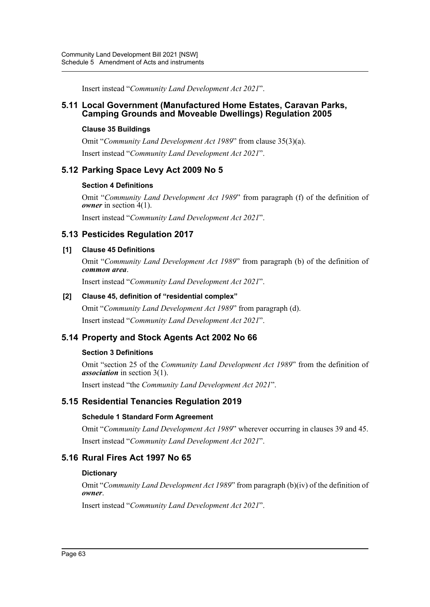Insert instead "*Community Land Development Act 2021*".

## **5.11 Local Government (Manufactured Home Estates, Caravan Parks, Camping Grounds and Moveable Dwellings) Regulation 2005**

### **Clause 35 Buildings**

Omit "*Community Land Development Act 1989*" from clause 35(3)(a). Insert instead "*Community Land Development Act 2021*".

## **5.12 Parking Space Levy Act 2009 No 5**

## **Section 4 Definitions**

Omit "*Community Land Development Act 1989*" from paragraph (f) of the definition of *owner* in section 4(1).

Insert instead "*Community Land Development Act 2021*".

## **5.13 Pesticides Regulation 2017**

## **[1] Clause 45 Definitions**

Omit "*Community Land Development Act 1989*" from paragraph (b) of the definition of *common area*.

Insert instead "*Community Land Development Act 2021*".

#### **[2] Clause 45, definition of "residential complex"**

Omit "*Community Land Development Act 1989*" from paragraph (d). Insert instead "*Community Land Development Act 2021*".

## **5.14 Property and Stock Agents Act 2002 No 66**

## **Section 3 Definitions**

Omit "section 25 of the *Community Land Development Act 1989*" from the definition of *association* in section 3(1).

Insert instead "the *Community Land Development Act 2021*".

## **5.15 Residential Tenancies Regulation 2019**

## **Schedule 1 Standard Form Agreement**

Omit "*Community Land Development Act 1989*" wherever occurring in clauses 39 and 45. Insert instead "*Community Land Development Act 2021*".

## **5.16 Rural Fires Act 1997 No 65**

#### **Dictionary**

Omit "*Community Land Development Act 1989*" from paragraph (b)(iv) of the definition of *owner*.

Insert instead "*Community Land Development Act 2021*".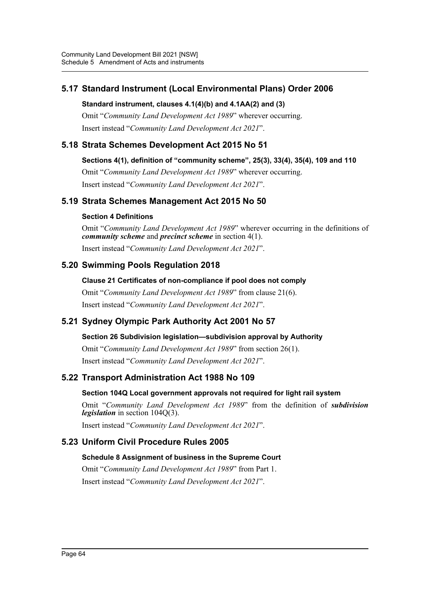## **5.17 Standard Instrument (Local Environmental Plans) Order 2006**

## **Standard instrument, clauses 4.1(4)(b) and 4.1AA(2) and (3)**

Omit "*Community Land Development Act 1989*" wherever occurring. Insert instead "*Community Land Development Act 2021*".

## **5.18 Strata Schemes Development Act 2015 No 51**

## **Sections 4(1), definition of "community scheme", 25(3), 33(4), 35(4), 109 and 110**

Omit "*Community Land Development Act 1989*" wherever occurring.

Insert instead "*Community Land Development Act 2021*".

## **5.19 Strata Schemes Management Act 2015 No 50**

## **Section 4 Definitions**

Omit "*Community Land Development Act 1989*" wherever occurring in the definitions of *community scheme* and *precinct scheme* in section 4(1).

Insert instead "*Community Land Development Act 2021*".

## **5.20 Swimming Pools Regulation 2018**

**Clause 21 Certificates of non-compliance if pool does not comply** Omit "*Community Land Development Act 1989*" from clause 21(6). Insert instead "*Community Land Development Act 2021*".

## **5.21 Sydney Olympic Park Authority Act 2001 No 57**

## **Section 26 Subdivision legislation—subdivision approval by Authority**

Omit "*Community Land Development Act 1989*" from section 26(1).

Insert instead "*Community Land Development Act 2021*".

## **5.22 Transport Administration Act 1988 No 109**

## **Section 104Q Local government approvals not required for light rail system**

Omit "*Community Land Development Act 1989*" from the definition of *subdivision legislation* in section 104Q(3).

Insert instead "*Community Land Development Act 2021*".

## **5.23 Uniform Civil Procedure Rules 2005**

## **Schedule 8 Assignment of business in the Supreme Court**

Omit "*Community Land Development Act 1989*" from Part 1. Insert instead "*Community Land Development Act 2021*".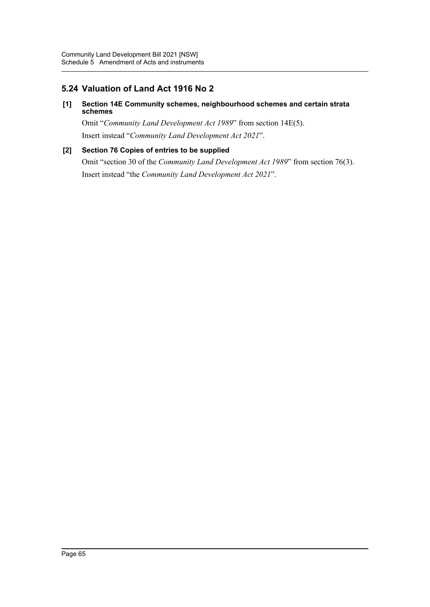## **5.24 Valuation of Land Act 1916 No 2**

#### **[1] Section 14E Community schemes, neighbourhood schemes and certain strata schemes**

Omit "*Community Land Development Act 1989*" from section 14E(5). Insert instead "*Community Land Development Act 2021*".

## **[2] Section 76 Copies of entries to be supplied**

Omit "section 30 of the *Community Land Development Act 1989*" from section 76(3). Insert instead "the *Community Land Development Act 2021*".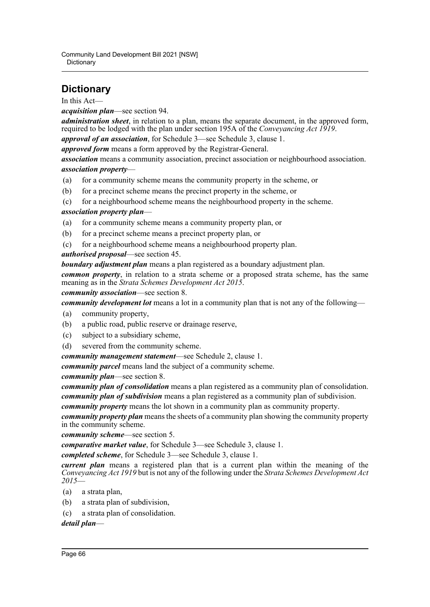# **Dictionary**

In this Act—

*acquisition plan*—see section 94.

*administration sheet*, in relation to a plan, means the separate document, in the approved form, required to be lodged with the plan under section 195A of the *Conveyancing Act 1919*.

*approval of an association*, for Schedule 3—see Schedule 3, clause 1.

*approved form* means a form approved by the Registrar-General.

*association* means a community association, precinct association or neighbourhood association. *association property*—

- (a) for a community scheme means the community property in the scheme, or
- (b) for a precinct scheme means the precinct property in the scheme, or
- (c) for a neighbourhood scheme means the neighbourhood property in the scheme.

## *association property plan*—

- (a) for a community scheme means a community property plan, or
- (b) for a precinct scheme means a precinct property plan, or
- (c) for a neighbourhood scheme means a neighbourhood property plan.

#### *authorised proposal*—see section 45.

*boundary adjustment plan* means a plan registered as a boundary adjustment plan.

*common property*, in relation to a strata scheme or a proposed strata scheme, has the same meaning as in the *Strata Schemes Development Act 2015*.

#### *community association*—see section 8.

*community development lot* means a lot in a community plan that is not any of the following—

- (a) community property,
- (b) a public road, public reserve or drainage reserve,
- (c) subject to a subsidiary scheme,
- (d) severed from the community scheme.
- *community management statement*—see Schedule 2, clause 1.

*community parcel* means land the subject of a community scheme.

*community plan*—see section 8.

*community plan of consolidation* means a plan registered as a community plan of consolidation. *community plan of subdivision* means a plan registered as a community plan of subdivision.

*community property* means the lot shown in a community plan as community property.

*community property plan* means the sheets of a community plan showing the community property in the community scheme.

*community scheme*—see section 5.

*comparative market value*, for Schedule 3—see Schedule 3, clause 1.

*completed scheme*, for Schedule 3—see Schedule 3, clause 1.

*current plan* means a registered plan that is a current plan within the meaning of the *Conveyancing Act 1919* but is not any of the following under the *Strata Schemes Development Act 2015*—

- (a) a strata plan,
- (b) a strata plan of subdivision,
- (c) a strata plan of consolidation.

*detail plan*—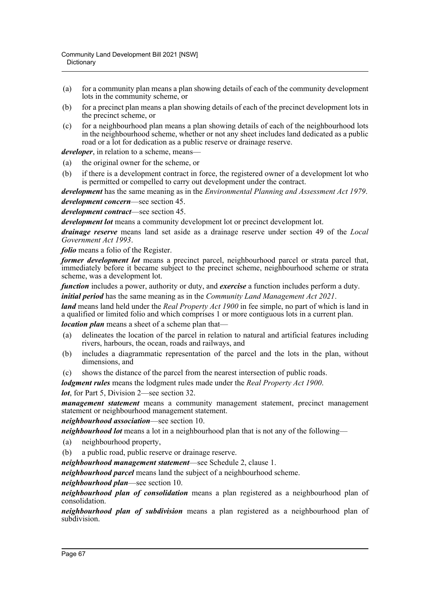- (a) for a community plan means a plan showing details of each of the community development lots in the community scheme, or
- (b) for a precinct plan means a plan showing details of each of the precinct development lots in the precinct scheme, or
- (c) for a neighbourhood plan means a plan showing details of each of the neighbourhood lots in the neighbourhood scheme, whether or not any sheet includes land dedicated as a public road or a lot for dedication as a public reserve or drainage reserve.

*developer*, in relation to a scheme, means-

- (a) the original owner for the scheme, or
- (b) if there is a development contract in force, the registered owner of a development lot who is permitted or compelled to carry out development under the contract.

*development* has the same meaning as in the *Environmental Planning and Assessment Act 1979*.

*development concern*—see section 45.

*development contract*—see section 45.

*development lot* means a community development lot or precinct development lot.

*drainage reserve* means land set aside as a drainage reserve under section 49 of the *Local Government Act 1993*.

*folio* means a folio of the Register.

*former development lot* means a precinct parcel, neighbourhood parcel or strata parcel that, immediately before it became subject to the precinct scheme, neighbourhood scheme or strata scheme, was a development lot.

*function* includes a power, authority or duty, and *exercise* a function includes perform a duty.

*initial period* has the same meaning as in the *Community Land Management Act 2021*.

*land* means land held under the *Real Property Act 1900* in fee simple, no part of which is land in a qualified or limited folio and which comprises 1 or more contiguous lots in a current plan.

*location plan* means a sheet of a scheme plan that—

- (a) delineates the location of the parcel in relation to natural and artificial features including rivers, harbours, the ocean, roads and railways, and
- (b) includes a diagrammatic representation of the parcel and the lots in the plan, without dimensions, and
- (c) shows the distance of the parcel from the nearest intersection of public roads.

*lodgment rules* means the lodgment rules made under the *Real Property Act 1900*.

#### *lot*, for Part 5, Division 2—see section 32.

*management statement* means a community management statement, precinct management statement or neighbourhood management statement.

#### *neighbourhood association*—see section 10.

*neighbourhood lot* means a lot in a neighbourhood plan that is not any of the following—

- (a) neighbourhood property,
- (b) a public road, public reserve or drainage reserve.

*neighbourhood management statement*—see Schedule 2, clause 1.

*neighbourhood parcel* means land the subject of a neighbourhood scheme.

*neighbourhood plan*—see section 10.

*neighbourhood plan of consolidation* means a plan registered as a neighbourhood plan of consolidation.

*neighbourhood plan of subdivision* means a plan registered as a neighbourhood plan of subdivision.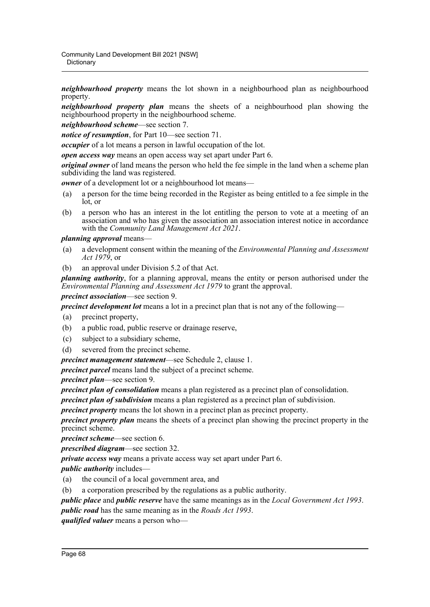*neighbourhood property* means the lot shown in a neighbourhood plan as neighbourhood property.

*neighbourhood property plan* means the sheets of a neighbourhood plan showing the neighbourhood property in the neighbourhood scheme.

*neighbourhood scheme*—see section 7.

*notice of resumption*, for Part 10—see section 71.

*occupier* of a lot means a person in lawful occupation of the lot.

*open access way* means an open access way set apart under Part 6.

*original owner* of land means the person who held the fee simple in the land when a scheme plan subdividing the land was registered.

*owner* of a development lot or a neighbourhood lot means—

- (a) a person for the time being recorded in the Register as being entitled to a fee simple in the lot, or
- (b) a person who has an interest in the lot entitling the person to vote at a meeting of an association and who has given the association an association interest notice in accordance with the *Community Land Management Act 2021*.

## *planning approval* means—

- (a) a development consent within the meaning of the *Environmental Planning and Assessment Act 1979*, or
- (b) an approval under Division 5.2 of that Act.

*planning authority*, for a planning approval, means the entity or person authorised under the *Environmental Planning and Assessment Act 1979* to grant the approval.

## *precinct association*—see section 9.

*precinct development lot* means a lot in a precinct plan that is not any of the following—

- (a) precinct property,
- (b) a public road, public reserve or drainage reserve,
- (c) subject to a subsidiary scheme,
- (d) severed from the precinct scheme.

*precinct management statement*—see Schedule 2, clause 1.

*precinct parcel* means land the subject of a precinct scheme.

*precinct plan*—see section 9.

*precinct plan of consolidation* means a plan registered as a precinct plan of consolidation.

*precinct plan of subdivision* means a plan registered as a precinct plan of subdivision.

*precinct property* means the lot shown in a precinct plan as precinct property.

*precinct property plan* means the sheets of a precinct plan showing the precinct property in the precinct scheme.

*precinct scheme*—see section 6.

*prescribed diagram*—see section 32.

*private access way* means a private access way set apart under Part 6.

*public authority* includes—

- (a) the council of a local government area, and
- (b) a corporation prescribed by the regulations as a public authority.

*public place* and *public reserve* have the same meanings as in the *Local Government Act 1993*.

*public road* has the same meaning as in the *Roads Act 1993*.

*qualified valuer* means a person who—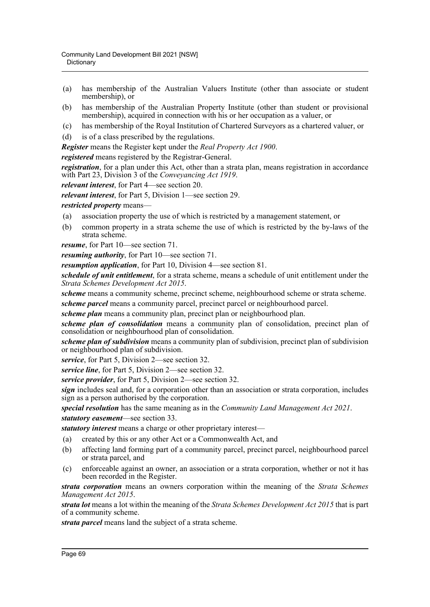- (a) has membership of the Australian Valuers Institute (other than associate or student membership), or
- (b) has membership of the Australian Property Institute (other than student or provisional membership), acquired in connection with his or her occupation as a valuer, or
- (c) has membership of the Royal Institution of Chartered Surveyors as a chartered valuer, or
- (d) is of a class prescribed by the regulations.

*Register* means the Register kept under the *Real Property Act 1900*.

*registered* means registered by the Registrar-General.

*registration*, for a plan under this Act, other than a strata plan, means registration in accordance with Part 23, Division 3 of the *Conveyancing Act 1919*.

*relevant interest*, for Part 4—see section 20.

*relevant interest*, for Part 5, Division 1—see section 29.

*restricted property* means—

- (a) association property the use of which is restricted by a management statement, or
- (b) common property in a strata scheme the use of which is restricted by the by-laws of the strata scheme.

*resume*, for Part 10—see section 71.

*resuming authority*, for Part 10—see section 71.

*resumption application*, for Part 10, Division 4—see section 81.

*schedule of unit entitlement*, for a strata scheme, means a schedule of unit entitlement under the *Strata Schemes Development Act 2015*.

*scheme* means a community scheme, precinct scheme, neighbourhood scheme or strata scheme.

*scheme parcel* means a community parcel, precinct parcel or neighbourhood parcel.

*scheme plan* means a community plan, precinct plan or neighbourhood plan.

*scheme plan of consolidation* means a community plan of consolidation, precinct plan of consolidation or neighbourhood plan of consolidation.

*scheme plan of subdivision* means a community plan of subdivision, precinct plan of subdivision or neighbourhood plan of subdivision.

*service*, for Part 5, Division 2—see section 32.

*service line*, for Part 5, Division 2—see section 32.

*service provider*, for Part 5, Division 2—see section 32.

*sign* includes seal and, for a corporation other than an association or strata corporation, includes sign as a person authorised by the corporation.

*special resolution* has the same meaning as in the *Community Land Management Act 2021*. *statutory easement*—see section 33.

*statutory interest* means a charge or other proprietary interest—

- (a) created by this or any other Act or a Commonwealth Act, and
- (b) affecting land forming part of a community parcel, precinct parcel, neighbourhood parcel or strata parcel, and
- (c) enforceable against an owner, an association or a strata corporation, whether or not it has been recorded in the Register.

*strata corporation* means an owners corporation within the meaning of the *Strata Schemes Management Act 2015*.

*strata lot* means a lot within the meaning of the *Strata Schemes Development Act 2015* that is part of a community scheme.

*strata parcel* means land the subject of a strata scheme.